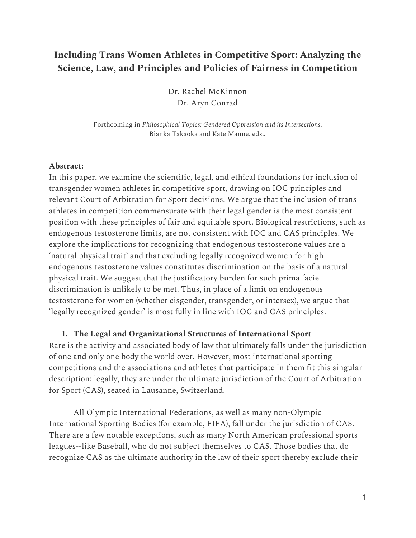# **Including Trans Women Athletes in Competitive Sport: Analyzing the Science, Law, and Principles and Policies of Fairness in Competition**

Dr. Rachel McKinnon Dr. Aryn Conrad

Forthcoming in *Philosophical Topics: Gendered Oppression and its Intersections*. Bianka Takaoka and Kate Manne, eds..

#### **Abstract:**

In this paper, we examine the scientific, legal, and ethical foundations for inclusion of transgender women athletes in competitive sport, drawing on IOC principles and relevant Court of Arbitration for Sport decisions. We argue that the inclusion of trans athletes in competition commensurate with their legal gender is the most consistent position with these principles of fair and equitable sport. Biological restrictions, such as endogenous testosterone limits, are not consistent with IOC and CAS principles. We explore the implications for recognizing that endogenous testosterone values are a 'natural physical trait' and that excluding legally recognized women for high endogenous testosterone values constitutes discrimination on the basis of a natural physical trait. We suggest that the justificatory burden for such prima facie discrimination is unlikely to be met. Thus, in place of a limit on endogenous testosterone for women (whether cisgender, transgender, or intersex), we argue that 'legally recognized gender' is most fully in line with IOC and CAS principles.

**1. The Legal and Organizational Structures of International Sport**

Rare is the activity and associated body of law that ultimately falls under the jurisdiction of one and only one body the world over. However, most international sporting competitions and the associations and athletes that participate in them fit this singular description: legally, they are under the ultimate jurisdiction of the Court of Arbitration for Sport (CAS), seated in Lausanne, Switzerland.

All Olympic International Federations, as well as many non-Olympic International Sporting Bodies (for example, FIFA), fall under the jurisdiction of CAS. There are a few notable exceptions, such as many North American professional sports leagues--like Baseball, who do not subject themselves to CAS. Those bodies that do recognize CAS as the ultimate authority in the law of their sport thereby exclude their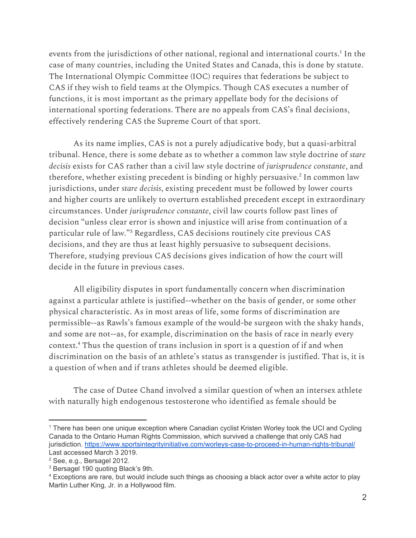events from the jurisdictions of other national, regional and international courts.<sup>1</sup> In the case of many countries, including the United States and Canada, this is done by statute. The International Olympic Committee (IOC) requires that federations be subject to CAS if they wish to field teams at the Olympics. Though CAS executes a number of functions, it is most important as the primary appellate body for the decisions of international sporting federations. There are no appeals from CAS's final decisions, effectively rendering CAS the Supreme Court of that sport.

As its name implies, CAS is not a purely adjudicative body, but a quasi-arbitral tribunal. Hence, there is some debate as to whether a common law style doctrine of *stare decisis* exists for CAS rather than a civil law style doctrine of *jurisprudence constante*, and therefore, whether existing precedent is binding or highly persuasive. 2 In common law jurisdictions, under *stare decisis*, existing precedent must be followed by lower courts and higher courts are unlikely to overturn established precedent except in extraordinary circumstances. Under *jurisprudence constante*, civil law courts follow past lines of decision "unless clear error is shown and injustice will arise from continuation of a particular rule of law."<sup>3</sup> Regardless, CAS decisions routinely cite previous CAS decisions, and they are thus at least highly persuasive to subsequent decisions. Therefore, studying previous CAS decisions gives indication of how the court will decide in the future in previous cases.

All eligibility disputes in sport fundamentally concern when discrimination against a particular athlete is justified--whether on the basis of gender, or some other physical characteristic. As in most areas of life, some forms of discrimination are permissible--as Rawls's famous example of the would-be surgeon with the shaky hands, and some are not--as, for example, discrimination on the basis of race in nearly every context.<sup>4</sup> Thus the question of trans inclusion in sport is a question of if and when discrimination on the basis of an athlete's status as transgender is justified. That is, it is a question of when and if trans athletes should be deemed eligible.

The case of Dutee Chand involved a similar question of when an intersex athlete with naturally high endogenous testosterone who identified as female should be

<sup>1</sup> There has been one unique exception where Canadian cyclist Kristen Worley took the UCI and Cycling Canada to the Ontario Human Rights Commission, which survived a challenge that only CAS had jurisdiction. <https://www.sportsintegrityinitiative.com/worleys-case-to-proceed-in-human-rights-tribunal/> Last accessed March 3 2019.

<sup>2</sup> See, e.g., Bersagel 2012.

<sup>3</sup> Bersagel 190 quoting Black's 9th.

<sup>4</sup> Exceptions are rare, but would include such things as choosing a black actor over a white actor to play Martin Luther King, Jr. in a Hollywood film.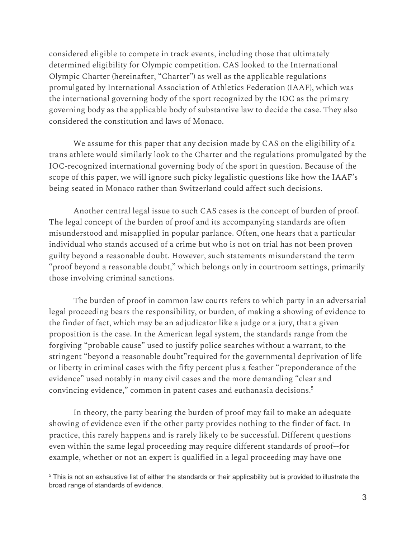considered eligible to compete in track events, including those that ultimately determined eligibility for Olympic competition. CAS looked to the International Olympic Charter (hereinafter, "Charter") as well as the applicable regulations promulgated by International Association of Athletics Federation (IAAF), which was the international governing body of the sport recognized by the IOC as the primary governing body as the applicable body of substantive law to decide the case. They also considered the constitution and laws of Monaco.

We assume for this paper that any decision made by CAS on the eligibility of a trans athlete would similarly look to the Charter and the regulations promulgated by the IOC-recognized international governing body of the sport in question. Because of the scope of this paper, we will ignore such picky legalistic questions like how the IAAF's being seated in Monaco rather than Switzerland could affect such decisions.

Another central legal issue to such CAS cases is the concept of burden of proof. The legal concept of the burden of proof and its accompanying standards are often misunderstood and misapplied in popular parlance. Often, one hears that a particular individual who stands accused of a crime but who is not on trial has not been proven guilty beyond a reasonable doubt. However, such statements misunderstand the term "proof beyond a reasonable doubt," which belongs only in courtroom settings, primarily those involving criminal sanctions.

The burden of proof in common law courts refers to which party in an adversarial legal proceeding bears the responsibility, or burden, of making a showing of evidence to the finder of fact, which may be an adjudicator like a judge or a jury, that a given proposition is the case. In the American legal system, the standards range from the forgiving "probable cause" used to justify police searches without a warrant, to the stringent "beyond a reasonable doubt"required for the governmental deprivation of life or liberty in criminal cases with the fifty percent plus a feather "preponderance of the evidence" used notably in many civil cases and the more demanding "clear and convincing evidence," common in patent cases and euthanasia decisions. 5

In theory, the party bearing the burden of proof may fail to make an adequate showing of evidence even if the other party provides nothing to the finder of fact. In practice, this rarely happens and is rarely likely to be successful. Different questions even within the same legal proceeding may require different standards of proof--for example, whether or not an expert is qualified in a legal proceeding may have one

<sup>5</sup> This is not an exhaustive list of either the standards or their applicability but is provided to illustrate the broad range of standards of evidence.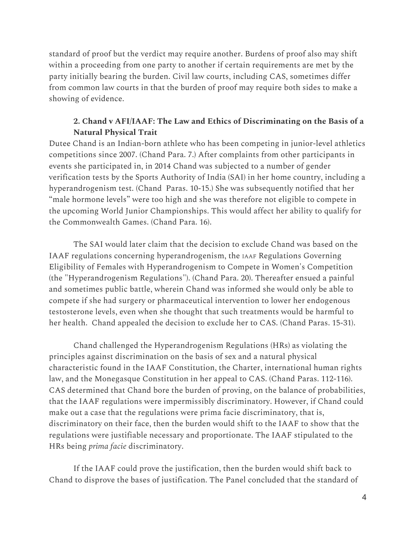standard of proof but the verdict may require another. Burdens of proof also may shift within a proceeding from one party to another if certain requirements are met by the party initially bearing the burden. Civil law courts, including CAS, sometimes differ from common law courts in that the burden of proof may require both sides to make a showing of evidence.

## **2. Chand v AFI/IAAF: The Law and Ethics of Discriminating on the Basis of a Natural Physical Trait**

Dutee Chand is an Indian-born athlete who has been competing in junior-level athletics competitions since 2007. (Chand Para. 7.) After complaints from other participants in events she participated in, in 2014 Chand was subjected to a number of gender verification tests by the Sports Authority of India (SAI) in her home country, including a hyperandrogenism test. (Chand Paras. 10-15.) She was subsequently notified that her "male hormone levels" were too high and she was therefore not eligible to compete in the upcoming World Junior Championships. This would affect her ability to qualify for the Commonwealth Games. (Chand Para. 16).

The SAI would later claim that the decision to exclude Chand was based on the IAAF regulations concerning hyperandrogenism, the IAAF Regulations Governing Eligibility of Females with Hyperandrogenism to Compete in Women's Competition (the "Hyperandrogenism Regulations"). (Chand Para. 20). Thereafter ensued a painful and sometimes public battle, wherein Chand was informed she would only be able to compete if she had surgery or pharmaceutical intervention to lower her endogenous testosterone levels, even when she thought that such treatments would be harmful to her health. Chand appealed the decision to exclude her to CAS. (Chand Paras. 15-31).

Chand challenged the Hyperandrogenism Regulations (HRs) as violating the principles against discrimination on the basis of sex and a natural physical characteristic found in the IAAF Constitution, the Charter, international human rights law, and the Monegasque Constitution in her appeal to CAS. (Chand Paras. 112-116). CAS determined that Chand bore the burden of proving, on the balance of probabilities, that the IAAF regulations were impermissibly discriminatory. However, if Chand could make out a case that the regulations were prima facie discriminatory, that is, discriminatory on their face, then the burden would shift to the IAAF to show that the regulations were justifiable necessary and proportionate. The IAAF stipulated to the HRs being *prima facie* discriminatory.

If the IAAF could prove the justification, then the burden would shift back to Chand to disprove the bases of justification. The Panel concluded that the standard of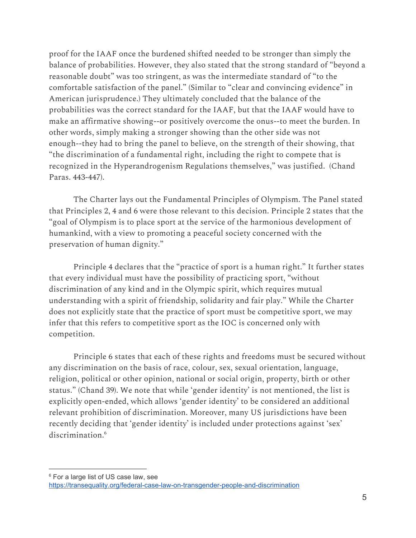proof for the IAAF once the burdened shifted needed to be stronger than simply the balance of probabilities. However, they also stated that the strong standard of "beyond a reasonable doubt" was too stringent, as was the intermediate standard of "to the comfortable satisfaction of the panel." (Similar to "clear and convincing evidence" in American jurisprudence.) They ultimately concluded that the balance of the probabilities was the correct standard for the IAAF, but that the IAAF would have to make an affirmative showing--or positively overcome the onus--to meet the burden. In other words, simply making a stronger showing than the other side was not enough--they had to bring the panel to believe, on the strength of their showing, that "the discrimination of a fundamental right, including the right to compete that is recognized in the Hyperandrogenism Regulations themselves," was justified. (Chand Paras. 443-447).

The Charter lays out the Fundamental Principles of Olympism. The Panel stated that Principles 2, 4 and 6 were those relevant to this decision. Principle 2 states that the "goal of Olympism is to place sport at the service of the harmonious development of humankind, with a view to promoting a peaceful society concerned with the preservation of human dignity."

Principle 4 declares that the "practice of sport is a human right." It further states that every individual must have the possibility of practicing sport, "without discrimination of any kind and in the Olympic spirit, which requires mutual understanding with a spirit of friendship, solidarity and fair play." While the Charter does not explicitly state that the practice of sport must be competitive sport, we may infer that this refers to competitive sport as the IOC is concerned only with competition.

Principle 6 states that each of these rights and freedoms must be secured without any discrimination on the basis of race, colour, sex, sexual orientation, language, religion, political or other opinion, national or social origin, property, birth or other status." (Chand 39). We note that while 'gender identity' is not mentioned, the list is explicitly open-ended, which allows 'gender identity' to be considered an additional relevant prohibition of discrimination. Moreover, many US jurisdictions have been recently deciding that 'gender identity' is included under protections against 'sex' discrimination. 6

<sup>&</sup>lt;sup>6</sup> For a large list of US case law, see <https://transequality.org/federal-case-law-on-transgender-people-and-discrimination>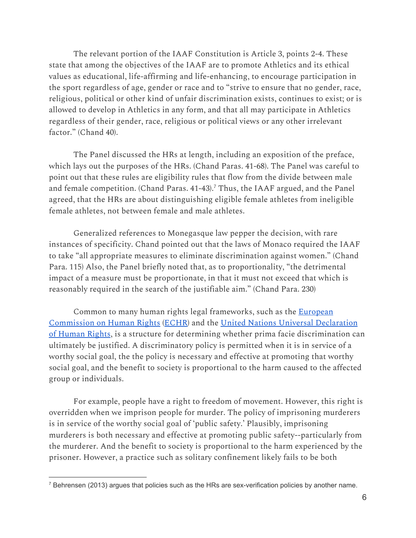The relevant portion of the IAAF Constitution is Article 3, points 2-4. These state that among the objectives of the IAAF are to promote Athletics and its ethical values as educational, life-affirming and life-enhancing, to encourage participation in the sport regardless of age, gender or race and to "strive to ensure that no gender, race, religious, political or other kind of unfair discrimination exists, continues to exist; or is allowed to develop in Athletics in any form, and that all may participate in Athletics regardless of their gender, race, religious or political views or any other irrelevant factor." (Chand 40).

The Panel discussed the HRs at length, including an exposition of the preface, which lays out the purposes of the HRs. (Chand Paras. 41-68). The Panel was careful to point out that these rules are eligibility rules that flow from the divide between male and female competition. (Chand Paras. 41-43).<sup>7</sup> Thus, the IAAF argued, and the Panel agreed, that the HRs are about distinguishing eligible female athletes from ineligible female athletes, not between female and male athletes.

Generalized references to Monegasque law pepper the decision, with rare instances of specificity. Chand pointed out that the laws of Monaco required the IAAF to take "all appropriate measures to eliminate discrimination against women." (Chand Para. 115) Also, the Panel briefly noted that, as to proportionality, "the detrimental impact of a measure must be proportionate, in that it must not exceed that which is reasonably required in the search of the justifiable aim." (Chand Para. 230)

Common to many human rights legal frameworks, such as the [European](https://www.echr.coe.int/Documents/Convention_ENG.pdf) [Commission](https://www.echr.coe.int/Documents/Convention_ENG.pdf) on Human Rights ([ECHR](https://www.echr.coe.int/Documents/Pub_coe_HFfiles_2005_01_ENG.pdf)) and the [United Nations Universal Declaration](http://www.un.org/en/udhrbook/pdf/udhr_booklet_en_web.pdf) of [Human](http://www.un.org/en/udhrbook/pdf/udhr_booklet_en_web.pdf) Rights, is a structure for determining whether prima facie discrimination can ultimately be justified. A discriminatory policy is permitted when it is in service of a worthy social goal, the the policy is necessary and effective at promoting that worthy social goal, and the benefit to society is proportional to the harm caused to the affected group or individuals.

For example, people have a right to freedom of movement. However, this right is overridden when we imprison people for murder. The policy of imprisoning murderers is in service of the worthy social goal of 'public safety.' Plausibly, imprisoning murderers is both necessary and effective at promoting public safety--particularly from the murderer. And the benefit to society is proportional to the harm experienced by the prisoner. However, a practice such as solitary confinement likely fails to be both

<sup>7</sup> Behrensen (2013) argues that policies such as the HRs are sex-verification policies by another name.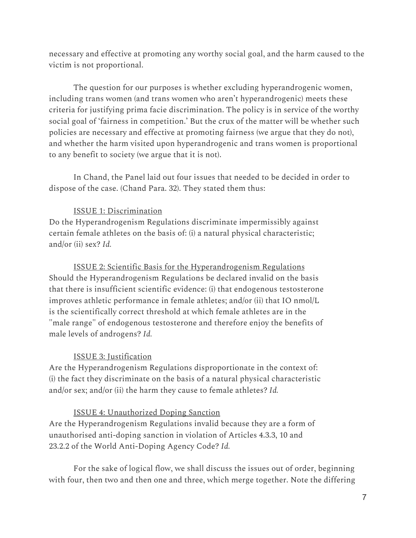necessary and effective at promoting any worthy social goal, and the harm caused to the victim is not proportional.

The question for our purposes is whether excluding hyperandrogenic women, including trans women (and trans women who aren't hyperandrogenic) meets these criteria for justifying prima facie discrimination. The policy is in service of the worthy social goal of 'fairness in competition.' But the crux of the matter will be whether such policies are necessary and effective at promoting fairness (we argue that they do not), and whether the harm visited upon hyperandrogenic and trans women is proportional to any benefit to society (we argue that it is not).

In Chand, the Panel laid out four issues that needed to be decided in order to dispose of the case. (Chand Para. 32). They stated them thus:

## ISSUE 1: Discrimination

Do the Hyperandrogenism Regulations discriminate impermissibly against certain female athletes on the basis of: (i) a natural physical characteristic; and/or (ii) sex? *Id.*

ISSUE 2: Scientific Basis for the Hyperandrogenism Regulations Should the Hyperandrogenism Regulations be declared invalid on the basis that there is insufficient scientific evidence: (i) that endogenous testosterone improves athletic performance in female athletes; and/or (ii) that IO nmol/L is the scientifically correct threshold at which female athletes are in the "male range" of endogenous testosterone and therefore enjoy the benefits of male levels of androgens? *Id.*

## ISSUE 3: Justification

Are the Hyperandrogenism Regulations disproportionate in the context of: (i) the fact they discriminate on the basis of a natural physical characteristic and/or sex; and/or (ii) the harm they cause to female athletes? *Id.*

## ISSUE 4: Unauthorized Doping Sanction

Are the Hyperandrogenism Regulations invalid because they are a form of unauthorised anti-doping sanction in violation of Articles 4.3.3, 10 and 23.2.2 of the World Anti-Doping Agency Code? *Id.*

For the sake of logical flow, we shall discuss the issues out of order, beginning with four, then two and then one and three, which merge together. Note the differing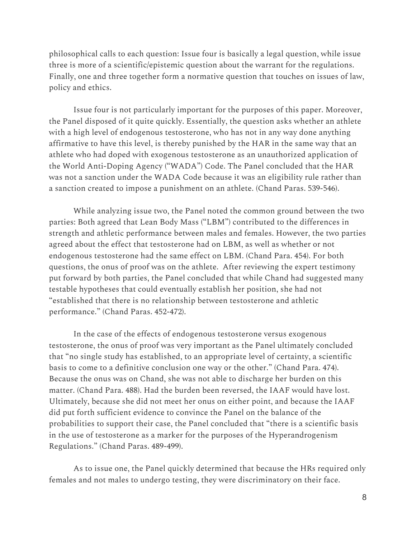philosophical calls to each question: Issue four is basically a legal question, while issue three is more of a scientific/epistemic question about the warrant for the regulations. Finally, one and three together form a normative question that touches on issues of law, policy and ethics.

Issue four is not particularly important for the purposes of this paper. Moreover, the Panel disposed of it quite quickly. Essentially, the question asks whether an athlete with a high level of endogenous testosterone, who has not in any way done anything affirmative to have this level, is thereby punished by the HAR in the same way that an athlete who had doped with exogenous testosterone as an unauthorized application of the World Anti-Doping Agency ("WADA") Code. The Panel concluded that the HAR was not a sanction under the WADA Code because it was an eligibility rule rather than a sanction created to impose a punishment on an athlete. (Chand Paras. 539-546).

While analyzing issue two, the Panel noted the common ground between the two parties: Both agreed that Lean Body Mass ("LBM") contributed to the differences in strength and athletic performance between males and females. However, the two parties agreed about the effect that testosterone had on LBM, as well as whether or not endogenous testosterone had the same effect on LBM. (Chand Para. 454). For both questions, the onus of proof was on the athlete. After reviewing the expert testimony put forward by both parties, the Panel concluded that while Chand had suggested many testable hypotheses that could eventually establish her position, she had not "established that there is no relationship between testosterone and athletic performance." (Chand Paras. 452-472).

In the case of the effects of endogenous testosterone versus exogenous testosterone, the onus of proof was very important as the Panel ultimately concluded that "no single study has established, to an appropriate level of certainty, a scientific basis to come to a definitive conclusion one way or the other." (Chand Para. 474). Because the onus was on Chand, she was not able to discharge her burden on this matter. (Chand Para. 488). Had the burden been reversed, the IAAF would have lost. Ultimately, because she did not meet her onus on either point, and because the IAAF did put forth sufficient evidence to convince the Panel on the balance of the probabilities to support their case, the Panel concluded that "there is a scientific basis in the use of testosterone as a marker for the purposes of the Hyperandrogenism Regulations." (Chand Paras. 489-499).

As to issue one, the Panel quickly determined that because the HRs required only females and not males to undergo testing, they were discriminatory on their face.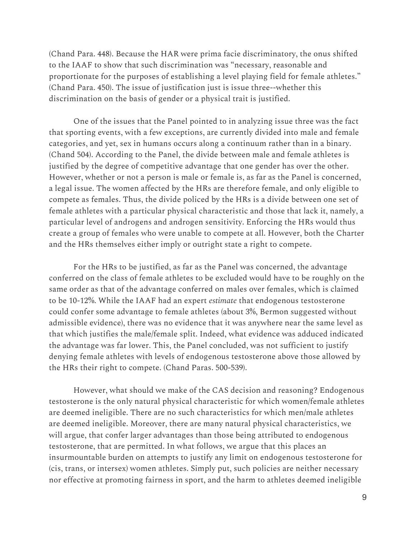(Chand Para. 448). Because the HAR were prima facie discriminatory, the onus shifted to the IAAF to show that such discrimination was "necessary, reasonable and proportionate for the purposes of establishing a level playing field for female athletes." (Chand Para. 450). The issue of justification just is issue three--whether this discrimination on the basis of gender or a physical trait is justified.

One of the issues that the Panel pointed to in analyzing issue three was the fact that sporting events, with a few exceptions, are currently divided into male and female categories, and yet, sex in humans occurs along a continuum rather than in a binary. (Chand 504). According to the Panel, the divide between male and female athletes is justified by the degree of competitive advantage that one gender has over the other. However, whether or not a person is male or female is, as far as the Panel is concerned, a legal issue. The women affected by the HRs are therefore female, and only eligible to compete as females. Thus, the divide policed by the HRs is a divide between one set of female athletes with a particular physical characteristic and those that lack it, namely, a particular level of androgens and androgen sensitivity. Enforcing the HRs would thus create a group of females who were unable to compete at all. However, both the Charter and the HRs themselves either imply or outright state a right to compete.

For the HRs to be justified, as far as the Panel was concerned, the advantage conferred on the class of female athletes to be excluded would have to be roughly on the same order as that of the advantage conferred on males over females, which is claimed to be 10-12%. While the IAAF had an expert *estimate* that endogenous testosterone could confer some advantage to female athletes (about 3%, Bermon suggested without admissible evidence), there was no evidence that it was anywhere near the same level as that which justifies the male/female split. Indeed, what evidence was adduced indicated the advantage was far lower. This, the Panel concluded, was not sufficient to justify denying female athletes with levels of endogenous testosterone above those allowed by the HRs their right to compete. (Chand Paras. 500-539).

However, what should we make of the CAS decision and reasoning? Endogenous testosterone is the only natural physical characteristic for which women/female athletes are deemed ineligible. There are no such characteristics for which men/male athletes are deemed ineligible. Moreover, there are many natural physical characteristics, we will argue, that confer larger advantages than those being attributed to endogenous testosterone, that are permitted. In what follows, we argue that this places an insurmountable burden on attempts to justify any limit on endogenous testosterone for (cis, trans, or intersex) women athletes. Simply put, such policies are neither necessary nor effective at promoting fairness in sport, and the harm to athletes deemed ineligible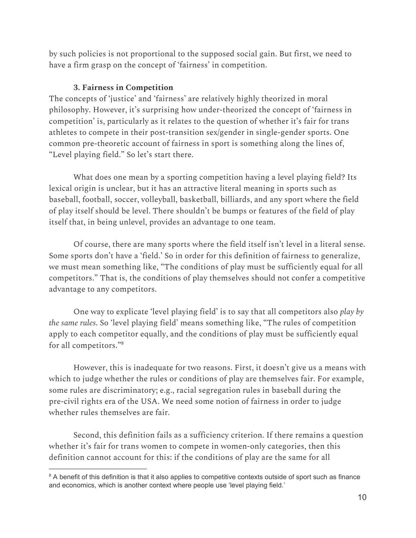by such policies is not proportional to the supposed social gain. But first, we need to have a firm grasp on the concept of 'fairness' in competition.

## **3. Fairness in Competition**

The concepts of 'justice' and 'fairness' are relatively highly theorized in moral philosophy. However, it's surprising how under-theorized the concept of 'fairness in competition' is, particularly as it relates to the question of whether it's fair for trans athletes to compete in their post-transition sex/gender in single-gender sports. One common pre-theoretic account of fairness in sport is something along the lines of, "Level playing field." So let's start there.

What does one mean by a sporting competition having a level playing field? Its lexical origin is unclear, but it has an attractive literal meaning in sports such as baseball, football, soccer, volleyball, basketball, billiards, and any sport where the field of play itself should be level. There shouldn't be bumps or features of the field of play itself that, in being unlevel, provides an advantage to one team.

Of course, there are many sports where the field itself isn't level in a literal sense. Some sports don't have a 'field.' So in order for this definition of fairness to generalize, we must mean something like, "The conditions of play must be sufficiently equal for all competitors." That is, the conditions of play themselves should not confer a competitive advantage to any competitors.

One way to explicate 'level playing field' is to say that all competitors also *play by the same rules*. So 'level playing field' means something like, "The rules of competition apply to each competitor equally, and the conditions of play must be sufficiently equal for all competitors." 8

However, this is inadequate for two reasons. First, it doesn't give us a means with which to judge whether the rules or conditions of play are themselves fair. For example, some rules are discriminatory; e.g., racial segregation rules in baseball during the pre-civil rights era of the USA. We need some notion of fairness in order to judge whether rules themselves are fair.

Second, this definition fails as a sufficiency criterion. If there remains a question whether it's fair for trans women to compete in women-only categories, then this definition cannot account for this: if the conditions of play are the same for all

<sup>&</sup>lt;sup>8</sup> A benefit of this definition is that it also applies to competitive contexts outside of sport such as finance and economics, which is another context where people use 'level playing field.'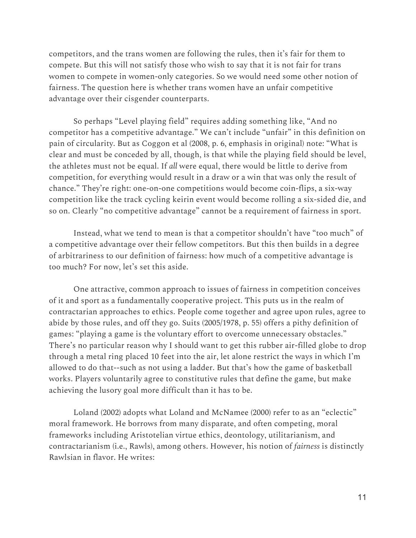competitors, and the trans women are following the rules, then it's fair for them to compete. But this will not satisfy those who wish to say that it is not fair for trans women to compete in women-only categories. So we would need some other notion of fairness. The question here is whether trans women have an unfair competitive advantage over their cisgender counterparts.

So perhaps "Level playing field" requires adding something like, "And no competitor has a competitive advantage." We can't include "unfair" in this definition on pain of circularity. But as Coggon et al (2008, p. 6, emphasis in original) note: "What is clear and must be conceded by all, though, is that while the playing field should be level, the athletes must not be equal. If *all* were equal, there would be little to derive from competition, for everything would result in a draw or a win that was only the result of chance." They're right: one-on-one competitions would become coin-flips, a six-way competition like the track cycling keirin event would become rolling a six-sided die, and so on. Clearly "no competitive advantage" cannot be a requirement of fairness in sport.

Instead, what we tend to mean is that a competitor shouldn't have "too much" of a competitive advantage over their fellow competitors. But this then builds in a degree of arbitrariness to our definition of fairness: how much of a competitive advantage is too much? For now, let's set this aside.

One attractive, common approach to issues of fairness in competition conceives of it and sport as a fundamentally cooperative project. This puts us in the realm of contractarian approaches to ethics. People come together and agree upon rules, agree to abide by those rules, and off they go. Suits (2005/1978, p. 55) offers a pithy definition of games: "playing a game is the voluntary effort to overcome unnecessary obstacles." There's no particular reason why I should want to get this rubber air-filled globe to drop through a metal ring placed 10 feet into the air, let alone restrict the ways in which I'm allowed to do that--such as not using a ladder. But that's how the game of basketball works. Players voluntarily agree to constitutive rules that define the game, but make achieving the lusory goal more difficult than it has to be.

Loland (2002) adopts what Loland and McNamee (2000) refer to as an "eclectic" moral framework. He borrows from many disparate, and often competing, moral frameworks including Aristotelian virtue ethics, deontology, utilitarianism, and contractarianism (i.e., Rawls), among others. However, his notion of *fairness* is distinctly Rawlsian in flavor. He writes: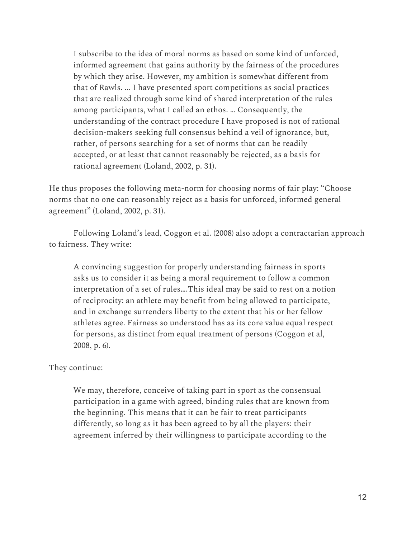I subscribe to the idea of moral norms as based on some kind of unforced, informed agreement that gains authority by the fairness of the procedures by which they arise. However, my ambition is somewhat different from that of Rawls. ... I have presented sport competitions as social practices that are realized through some kind of shared interpretation of the rules among participants, what I called an ethos. … Consequently, the understanding of the contract procedure I have proposed is not of rational decision-makers seeking full consensus behind a veil of ignorance, but, rather, of persons searching for a set of norms that can be readily accepted, or at least that cannot reasonably be rejected, as a basis for rational agreement (Loland, 2002, p. 31).

He thus proposes the following meta-norm for choosing norms of fair play: "Choose norms that no one can reasonably reject as a basis for unforced, informed general agreement" (Loland, 2002, p. 31).

Following Loland's lead, Coggon et al. (2008) also adopt a contractarian approach to fairness. They write:

A convincing suggestion for properly understanding fairness in sports asks us to consider it as being a moral requirement to follow a common interpretation of a set of rules….This ideal may be said to rest on a notion of reciprocity: an athlete may benefit from being allowed to participate, and in exchange surrenders liberty to the extent that his or her fellow athletes agree. Fairness so understood has as its core value equal respect for persons, as distinct from equal treatment of persons (Coggon et al, 2008, p. 6).

### They continue:

We may, therefore, conceive of taking part in sport as the consensual participation in a game with agreed, binding rules that are known from the beginning. This means that it can be fair to treat participants differently, so long as it has been agreed to by all the players: their agreement inferred by their willingness to participate according to the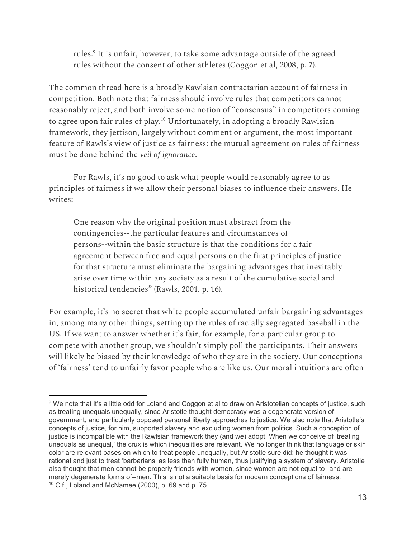rules.<sup>9</sup> It is unfair, however, to take some advantage outside of the agreed rules without the consent of other athletes (Coggon et al, 2008, p. 7).

The common thread here is a broadly Rawlsian contractarian account of fairness in competition. Both note that fairness should involve rules that competitors cannot reasonably reject, and both involve some notion of "consensus" in competitors coming to agree upon fair rules of play.<sup>10</sup> Unfortunately, in adopting a broadly Rawlsian framework, they jettison, largely without comment or argument, the most important feature of Rawls's view of justice as fairness: the mutual agreement on rules of fairness must be done behind the *veil of ignorance*.

For Rawls, it's no good to ask what people would reasonably agree to as principles of fairness if we allow their personal biases to influence their answers. He writes:

One reason why the original position must abstract from the contingencies--the particular features and circumstances of persons--within the basic structure is that the conditions for a fair agreement between free and equal persons on the first principles of justice for that structure must eliminate the bargaining advantages that inevitably arise over time within any society as a result of the cumulative social and historical tendencies" (Rawls, 2001, p. 16).

For example, it's no secret that white people accumulated unfair bargaining advantages in, among many other things, setting up the rules of racially segregated baseball in the US. If we want to answer whether it's fair, for example, for a particular group to compete with another group, we shouldn't simply poll the participants. Their answers will likely be biased by their knowledge of who they are in the society. Our conceptions of 'fairness' tend to unfairly favor people who are like us. Our moral intuitions are often

<sup>&</sup>lt;sup>9</sup> We note that it's a little odd for Loland and Coggon et al to draw on Aristotelian concepts of justice, such as treating unequals unequally, since Aristotle thought democracy was a degenerate version of government, and particularly opposed personal liberty approaches to justice. We also note that Aristotle's concepts of justice, for him, supported slavery and excluding women from politics. Such a conception of justice is incompatible with the Rawlsian framework they (and we) adopt. When we conceive of 'treating unequals as unequal,' the crux is which inequalities are relevant. We no longer think that language or skin color are relevant bases on which to treat people unequally, but Aristotle sure did: he thought it was rational and just to treat 'barbarians' as less than fully human, thus justifying a system of slavery. Aristotle also thought that men cannot be properly friends with women, since women are not equal to--and are merely degenerate forms of--men. This is not a suitable basis for modern conceptions of fairness.  $10$  C.f., Loland and McNamee (2000), p. 69 and p. 75.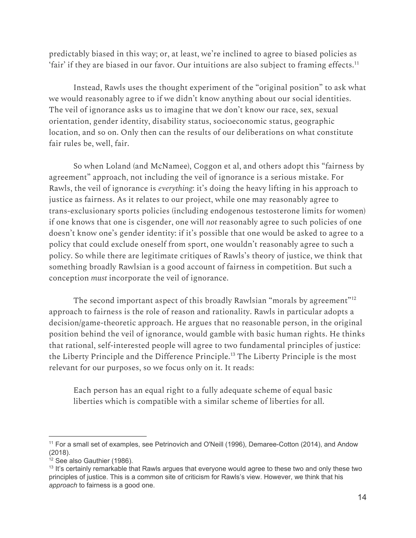predictably biased in this way; or, at least, we're inclined to agree to biased policies as 'fair' if they are biased in our favor. Our intuitions are also subject to framing effects. $^{\rm 11}$ 

Instead, Rawls uses the thought experiment of the "original position" to ask what we would reasonably agree to if we didn't know anything about our social identities. The veil of ignorance asks us to imagine that we don't know our race, sex, sexual orientation, gender identity, disability status, socioeconomic status, geographic location, and so on. Only then can the results of our deliberations on what constitute fair rules be, well, fair.

So when Loland (and McNamee), Coggon et al, and others adopt this "fairness by agreement" approach, not including the veil of ignorance is a serious mistake. For Rawls, the veil of ignorance is *everything*: it's doing the heavy lifting in his approach to justice as fairness. As it relates to our project, while one may reasonably agree to trans-exclusionary sports policies (including endogenous testosterone limits for women) if one knows that one is cisgender, one will *not* reasonably agree to such policies of one doesn't know one's gender identity: if it's possible that one would be asked to agree to a policy that could exclude oneself from sport, one wouldn't reasonably agree to such a policy. So while there are legitimate critiques of Rawls's theory of justice, we think that something broadly Rawlsian is a good account of fairness in competition. But such a conception *must* incorporate the veil of ignorance.

The second important aspect of this broadly Rawlsian "morals by agreement" $^{\rm 912}$ approach to fairness is the role of reason and rationality. Rawls in particular adopts a decision/game-theoretic approach. He argues that no reasonable person, in the original position behind the veil of ignorance, would gamble with basic human rights. He thinks that rational, self-interested people will agree to two fundamental principles of justice: the Liberty Principle and the Difference Principle.<sup>13</sup> The Liberty Principle is the most relevant for our purposes, so we focus only on it. It reads:

Each person has an equal right to a fully adequate scheme of equal basic liberties which is compatible with a similar scheme of liberties for all.

<sup>&</sup>lt;sup>11</sup> For a small set of examples, see Petrinovich and O'Neill (1996), Demaree-Cotton (2014), and Andow (2018).

 $12$  See also Gauthier (1986).

<sup>&</sup>lt;sup>13</sup> It's certainly remarkable that Rawls argues that everyone would agree to these two and only these two principles of justice. This is a common site of criticism for Rawls's view. However, we think that his *approach* to fairness is a good one.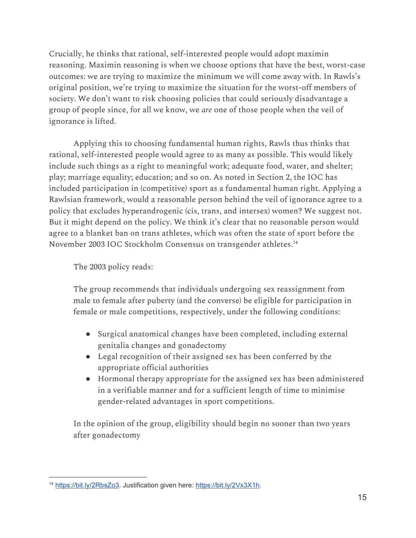Crucially, he thinks that rational, self-interested people would adopt maximin reasoning. Maximin reasoning is when we choose options that have the best, worst-case outcomes: we are trying to maximize the minimum we will come away with. In Rawls's original position, we're trying to maximize the situation for the worst-off members of society. We don't want to risk choosing policies that could seriously disadvantage a group of people since, for all we know, we *are* one of those people when the veil of ignorance is lifted.

Applying this to choosing fundamental human rights, Rawls thus thinks that rational, self-interested people would agree to as many as possible. This would likely include such things as a right to meaningful work; adequate food, water, and shelter; play; marriage equality; education; and so on. As noted in Section 2, the IOC has included participation in (competitive) sport as a fundamental human right. Applying a Rawlsian framework, would a reasonable person behind the veil of ignorance agree to a policy that excludes hyperandrogenic (cis, trans, and intersex) women? We suggest not. But it might depend on the policy. We think it's clear that no reasonable person would agree to a blanket ban on trans athletes, which was often the state of sport before the November 2003 IOC Stockholm Consensus on transgender athletes. 14

The 2003 policy reads:

The group recommends that individuals undergoing sex reassignment from male to female after puberty (and the converse) be eligible for participation in female or male competitions, respectively, under the following conditions:

- Surgical anatomical changes have been completed, including external genitalia changes and gonadectomy
- Legal recognition of their assigned sex has been conferred by the appropriate official authorities
- Hormonal therapy appropriate for the assigned sex has been administered in a verifiable manner and for a sufficient length of time to minimise gender-related advantages in sport competitions.

In the opinion of the group, eligibility should begin no sooner than two years after gonadectomy

<sup>14</sup> [https://bit.ly/2RbsZo3.](https://bit.ly/2RbsZo3) Justification given here: <https://bit.ly/2Vx3X1h>.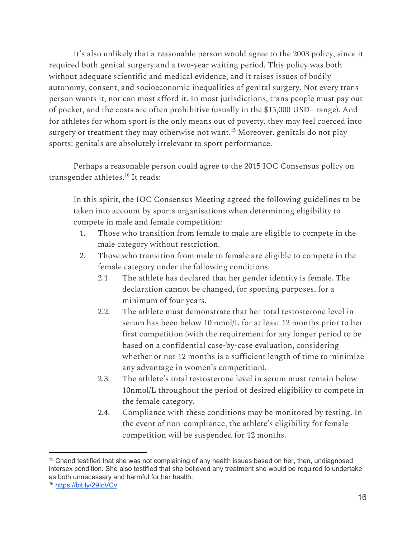It's also unlikely that a reasonable person would agree to the 2003 policy, since it required both genital surgery and a two-year waiting period. This policy was both without adequate scientific and medical evidence, and it raises issues of bodily autonomy, consent, and socioeconomic inequalities of genital surgery. Not every trans person wants it, nor can most afford it. In most jurisdictions, trans people must pay out of pocket, and the costs are often prohibitive (usually in the \$15,000 USD+ range). And for athletes for whom sport is the only means out of poverty, they may feel coerced into surgery or treatment they may otherwise not want. $^{15}$  Moreover, genitals do not play sports: genitals are absolutely irrelevant to sport performance.

Perhaps a reasonable person could agree to the 2015 IOC Consensus policy on transgender athletes.<sup>16</sup> It reads:

In this spirit, the IOC Consensus Meeting agreed the following guidelines to be taken into account by sports organisations when determining eligibility to compete in male and female competition:

- 1. Those who transition from female to male are eligible to compete in the male category without restriction.
- 2. Those who transition from male to female are eligible to compete in the female category under the following conditions:
	- 2.1. The athlete has declared that her gender identity is female. The declaration cannot be changed, for sporting purposes, for a minimum of four years.
	- 2.2. The athlete must demonstrate that her total testosterone level in serum has been below 10 nmol/L for at least 12 months prior to her first competition (with the requirement for any longer period to be based on a confidential case-by-case evaluation, considering whether or not 12 months is a sufficient length of time to minimize any advantage in women's competition).
	- 2.3. The athlete's total testosterone level in serum must remain below 10nmol/L throughout the period of desired eligibility to compete in the female category.
	- 2.4. Compliance with these conditions may be monitored by testing. In the event of non-compliance, the athlete's eligibility for female competition will be suspended for 12 months.

<sup>&</sup>lt;sup>15</sup> Chand testified that she was not complaining of any health issues based on her, then, undiagnosed intersex condition. She also testified that she believed any treatment she would be required to undertake as both unnecessary and harmful for her health.

<sup>16</sup> <https://bit.ly/29IcVCv>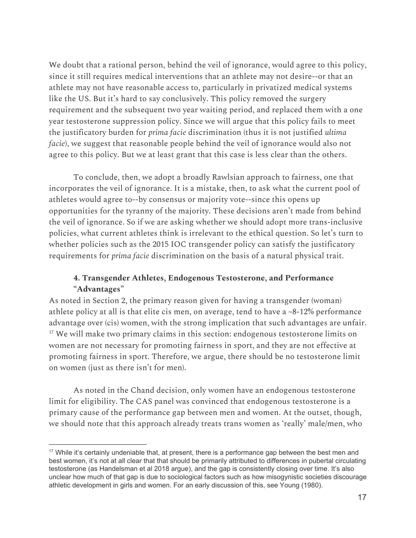We doubt that a rational person, behind the veil of ignorance, would agree to this policy, since it still requires medical interventions that an athlete may not desire--or that an athlete may not have reasonable access to, particularly in privatized medical systems like the US. But it's hard to say conclusively. This policy removed the surgery requirement and the subsequent two year waiting period, and replaced them with a one year testosterone suppression policy. Since we will argue that this policy fails to meet the justificatory burden for *prima facie* discrimination (thus it is not justified *ultima facie*), we suggest that reasonable people behind the veil of ignorance would also not agree to this policy. But we at least grant that this case is less clear than the others.

To conclude, then, we adopt a broadly Rawlsian approach to fairness, one that incorporates the veil of ignorance. It is a mistake, then, to ask what the current pool of athletes would agree to--by consensus or majority vote--since this opens up opportunities for the tyranny of the majority. These decisions aren't made from behind the veil of ignorance. So if we are asking whether we should adopt more trans-inclusive policies, what current athletes think is irrelevant to the ethical question. So let's turn to whether policies such as the 2015 IOC transgender policy can satisfy the justificatory requirements for *prima facie* discrimination on the basis of a natural physical trait.

## **4. Transgender Athletes, Endogenous Testosterone, and Performance "Advantages"**

As noted in Section 2, the primary reason given for having a transgender (woman) athlete policy at all is that elite cis men, on average, tend to have a ~8-12% performance advantage over (cis) women, with the strong implication that such advantages are unfair.  $17$  We will make two primary claims in this section: endogenous testosterone limits on women are not necessary for promoting fairness in sport, and they are not effective at promoting fairness in sport. Therefore, we argue, there should be no testosterone limit on women (just as there isn't for men).

As noted in the Chand decision, only women have an endogenous testosterone limit for eligibility. The CAS panel was convinced that endogenous testosterone is a primary cause of the performance gap between men and women. At the outset, though, we should note that this approach already treats trans women as 'really' male/men, who

<sup>&</sup>lt;sup>17</sup> While it's certainly undeniable that, at present, there is a performance gap between the best men and best women, it's not at all clear that that should be primarily attributed to differences in pubertal circulating testosterone (as Handelsman et al 2018 argue), and the gap is consistently closing over time. It's also unclear how much of that gap is due to sociological factors such as how misogynistic societies discourage athletic development in girls and women. For an early discussion of this, see Young (1980).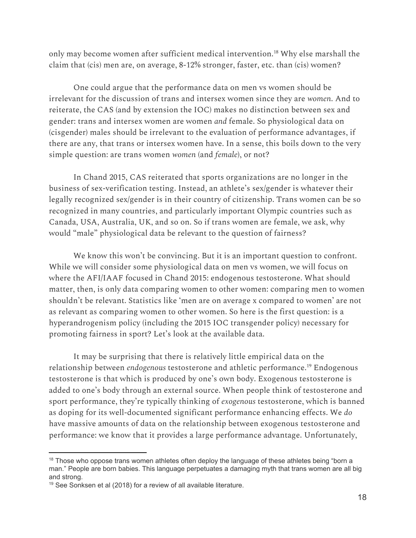only may become women after sufficient medical intervention.<sup>18</sup> Why else marshall the claim that (cis) men are, on average, 8-12% stronger, faster, etc. than (cis) women?

One could argue that the performance data on men vs women should be irrelevant for the discussion of trans and intersex women since they are *women*. And to reiterate, the CAS (and by extension the IOC) makes no distinction between sex and gender: trans and intersex women are women *and* female. So physiological data on (cisgender) males should be irrelevant to the evaluation of performance advantages, if there are any, that trans or intersex women have. In a sense, this boils down to the very simple question: are trans women *women* (and *female*), or not?

In Chand 2015, CAS reiterated that sports organizations are no longer in the business of sex-verification testing. Instead, an athlete's sex/gender is whatever their legally recognized sex/gender is in their country of citizenship. Trans women can be so recognized in many countries, and particularly important Olympic countries such as Canada, USA, Australia, UK, and so on. So if trans women are female, we ask, why would "male" physiological data be relevant to the question of fairness?

We know this won't be convincing. But it is an important question to confront. While we will consider some physiological data on men vs women, we will focus on where the AFI/IAAF focused in Chand 2015: endogenous testosterone. What should matter, then, is only data comparing women to other women: comparing men to women shouldn't be relevant. Statistics like 'men are on average x compared to women' are not as relevant as comparing women to other women. So here is the first question: is a hyperandrogenism policy (including the 2015 IOC transgender policy) necessary for promoting fairness in sport? Let's look at the available data.

It may be surprising that there is relatively little empirical data on the relationship between *endogenous* testosterone and athletic performance.<sup>19</sup> Endogenous testosterone is that which is produced by one's own body. Exogenous testosterone is added to one's body through an external source. When people think of testosterone and sport performance, they're typically thinking of *exogenous* testosterone, which is banned as doping for its well-documented significant performance enhancing effects. We *do* have massive amounts of data on the relationship between exogenous testosterone and performance: we know that it provides a large performance advantage. Unfortunately,

 $18$  Those who oppose trans women athletes often deploy the language of these athletes being "born a man." People are born babies. This language perpetuates a damaging myth that trans women are all big and strong.

 $19$  See Sonksen et al (2018) for a review of all available literature.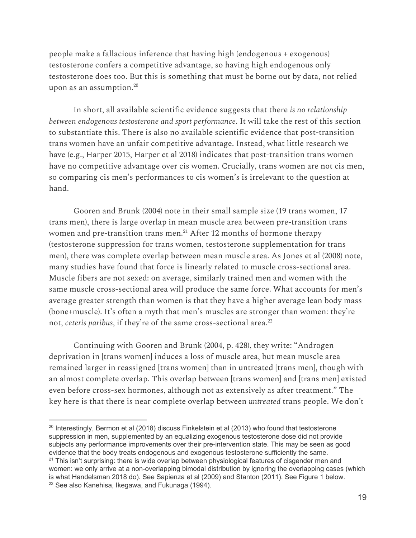people make a fallacious inference that having high (endogenous + exogenous) testosterone confers a competitive advantage, so having high endogenous only testosterone does too. But this is something that must be borne out by data, not relied upon as an assumption. 20

In short, all available scientific evidence suggests that there *is no relationship between endogenous testosterone and sport performance*. It will take the rest of this section to substantiate this. There is also no available scientific evidence that post-transition trans women have an unfair competitive advantage. Instead, what little research we have (e.g., Harper 2015, Harper et al 2018) indicates that post-transition trans women have no competitive advantage over cis women. Crucially, trans women are not cis men, so comparing cis men's performances to cis women's is irrelevant to the question at hand.

Gooren and Brunk (2004) note in their small sample size (19 trans women, 17 trans men), there is large overlap in mean muscle area between pre-transition trans women and pre-transition trans men. $^{\rm 21}$  After 12 months of hormone therapy (testosterone suppression for trans women, testosterone supplementation for trans men), there was complete overlap between mean muscle area. As Jones et al (2008) note, many studies have found that force is linearly related to muscle cross-sectional area. Muscle fibers are not sexed: on average, similarly trained men and women with the same muscle cross-sectional area will produce the same force. What accounts for men's average greater strength than women is that they have a higher average lean body mass (bone+muscle). It's often a myth that men's muscles are stronger than women: they're not, *ceteris paribus*, if they're of the same cross-sectional area. 22

Continuing with Gooren and Brunk (2004, p. 428), they write: "Androgen deprivation in [trans women] induces a loss of muscle area, but mean muscle area remained larger in reassigned [trans women] than in untreated [trans men], though with an almost complete overlap. This overlap between [trans women] and [trans men] existed even before cross-sex hormones, although not as extensively as after treatment." The key here is that there is near complete overlap between *untreated* trans people. We don't

 $20$  Interestingly, Bermon et al (2018) discuss Finkelstein et al (2013) who found that testosterone suppression in men, supplemented by an equalizing exogenous testosterone dose did not provide subjects any performance improvements over their pre-intervention state. This may be seen as good evidence that the body treats endogenous and exogenous testosterone sufficiently the same.  $21$  This isn't surprising: there is wide overlap between physiological features of cisgender men and women: we only arrive at a non-overlapping bimodal distribution by ignoring the overlapping cases (which is what Handelsman 2018 do). See Sapienza et al (2009) and Stanton (2011). See Figure 1 below. <sup>22</sup> See also Kanehisa, Ikegawa, and Fukunaga (1994).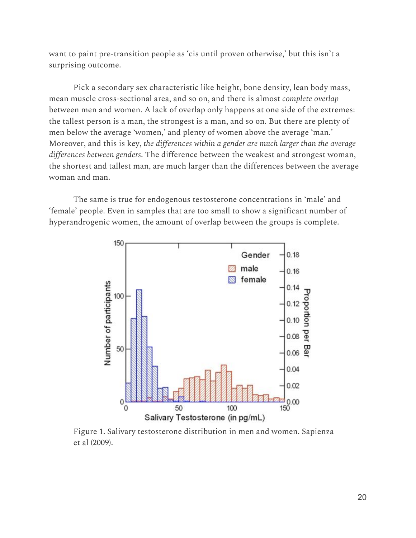want to paint pre-transition people as 'cis until proven otherwise,' but this isn't a surprising outcome.

Pick a secondary sex characteristic like height, bone density, lean body mass, mean muscle cross-sectional area, and so on, and there is almost *complete overlap* between men and women. A lack of overlap only happens at one side of the extremes: the tallest person is a man, the strongest is a man, and so on. But there are plenty of men below the average 'women,' and plenty of women above the average 'man.' Moreover, and this is key, *the differences within a gender are much larger than the average differences between genders*. The difference between the weakest and strongest woman, the shortest and tallest man, are much larger than the differences between the average woman and man.

The same is true for endogenous testosterone concentrations in 'male' and 'female' people. Even in samples that are too small to show a significant number of hyperandrogenic women, the amount of overlap between the groups is complete.



Figure 1. Salivary testosterone distribution in men and women. Sapienza et al (2009).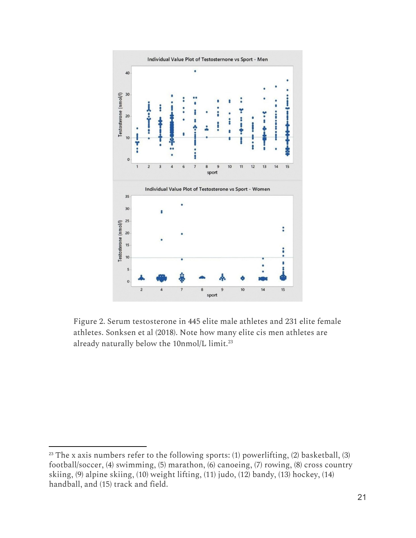

Figure 2. Serum testosterone in 445 elite male athletes and 231 elite female athletes. Sonksen et al (2018). Note how many elite cis men athletes are already naturally below the 10nmol/L limit. 23

 $23$  The x axis numbers refer to the following sports: (1) powerlifting, (2) basketball, (3) football/soccer, (4) swimming, (5) marathon, (6) canoeing, (7) rowing, (8) cross country skiing, (9) alpine skiing, (10) weight lifting, (11) judo, (12) bandy, (13) hockey, (14) handball, and (15) track and field.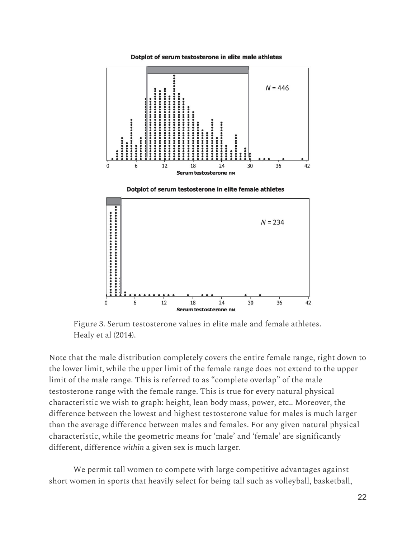Dotplot of serum testosterone in elite male athletes







Figure 3. Serum testosterone values in elite male and female athletes. Healy et al (2014).

Note that the male distribution completely covers the entire female range, right down to the lower limit, while the upper limit of the female range does not extend to the upper limit of the male range. This is referred to as "complete overlap" of the male testosterone range with the female range. This is true for every natural physical characteristic we wish to graph: height, lean body mass, power, etc.. Moreover, the difference between the lowest and highest testosterone value for males is much larger than the average difference between males and females. For any given natural physical characteristic, while the geometric means for 'male' and 'female' are significantly different, difference *within* a given sex is much larger.

We permit tall women to compete with large competitive advantages against short women in sports that heavily select for being tall such as volleyball, basketball,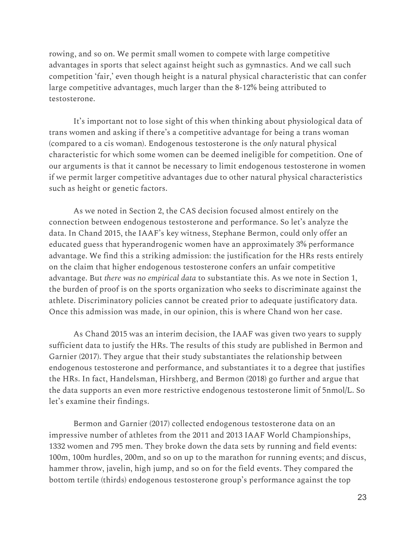rowing, and so on. We permit small women to compete with large competitive advantages in sports that select against height such as gymnastics. And we call such competition 'fair,' even though height is a natural physical characteristic that can confer large competitive advantages, much larger than the 8-12% being attributed to testosterone.

It's important not to lose sight of this when thinking about physiological data of trans women and asking if there's a competitive advantage for being a trans woman (compared to a cis woman). Endogenous testosterone is the *only* natural physical characteristic for which some women can be deemed ineligible for competition. One of our arguments is that it cannot be necessary to limit endogenous testosterone in women if we permit larger competitive advantages due to other natural physical characteristics such as height or genetic factors.

As we noted in Section 2, the CAS decision focused almost entirely on the connection between endogenous testosterone and performance. So let's analyze the data. In Chand 2015, the IAAF's key witness, Stephane Bermon, could only offer an educated guess that hyperandrogenic women have an approximately 3% performance advantage. We find this a striking admission: the justification for the HRs rests entirely on the claim that higher endogenous testosterone confers an unfair competitive advantage. But *there was no empirical data* to substantiate this. As we note in Section 1, the burden of proof is on the sports organization who seeks to discriminate against the athlete. Discriminatory policies cannot be created prior to adequate justificatory data. Once this admission was made, in our opinion, this is where Chand won her case.

As Chand 2015 was an interim decision, the IAAF was given two years to supply sufficient data to justify the HRs. The results of this study are published in Bermon and Garnier (2017). They argue that their study substantiates the relationship between endogenous testosterone and performance, and substantiates it to a degree that justifies the HRs. In fact, Handelsman, Hirshberg, and Bermon (2018) go further and argue that the data supports an even more restrictive endogenous testosterone limit of 5nmol/L. So let's examine their findings.

Bermon and Garnier (2017) collected endogenous testosterone data on an impressive number of athletes from the 2011 and 2013 IAAF World Championships, 1332 women and 795 men. They broke down the data sets by running and field events: 100m, 100m hurdles, 200m, and so on up to the marathon for running events; and discus, hammer throw, javelin, high jump, and so on for the field events. They compared the bottom tertile (thirds) endogenous testosterone group's performance against the top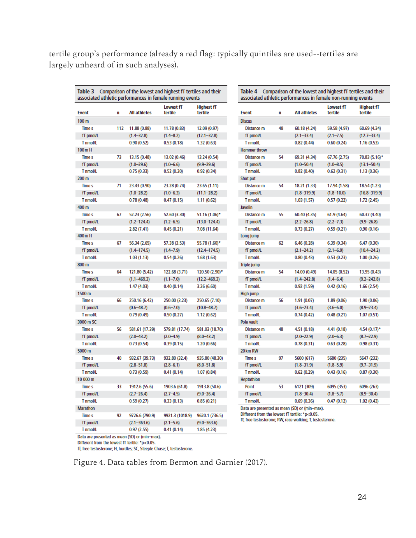tertile group's performance (already a red flag: typically quintiles are used--tertiles are largely unheard of in such analyses).

| <b>Event</b>     | n   | <b>All athletes</b> | Lowest fT<br>tertile | <b>Highest fT</b><br>tertile | <b>Event</b>                                   | n  | <b>All athletes</b>                                       | <b>Lowest fT</b><br>tertile | <b>Highest fT</b><br>tertile |
|------------------|-----|---------------------|----------------------|------------------------------|------------------------------------------------|----|-----------------------------------------------------------|-----------------------------|------------------------------|
| 100 <sub>m</sub> |     |                     |                      |                              | <b>Discus</b>                                  |    |                                                           |                             |                              |
| <b>Time s</b>    | 112 | 11.88 (0.88)        | 11.78 (0.83)         | 12.09 (0.97)                 | Distance m                                     | 48 | 60.18 (4.24)                                              | 59.58 (4.97)                | 60.69 (4.34)                 |
| fT pmol/L        |     | $(1.4 - 32.8)$      | $(1.4 - 8.2)$        | $(12.1 - 32.8)$              | fT pmol/L                                      |    | $(2.1 - 33.4)$                                            | $(2.1 - 7.5)$               | $(12.7 - 33.4)$              |
| T nmol/L         |     | 0.90(0.52)          | 0.53(0.18)           | 1.32(0.63)                   | T nmol/L                                       |    | 0.82(0.44)                                                | 0.60(0.24)                  | 1.16(0.53)                   |
| 100mH            |     |                     |                      |                              | Hammer throw                                   |    |                                                           |                             |                              |
| <b>Time s</b>    | 73  | 13.15 (0.48)        | 13.02 (0.46)         | 13.24 (0.54)                 | Distance m                                     | 54 | 69.31 (4.34)                                              | 67.76 (2.75)                | 70.83 (5.16)*                |
| fT pmol/L        |     | $(1.0 - 29.6)$      | $(1.0 - 6.6)$        | $(9.9 - 29.6)$               | fT pmol/L                                      |    | $(1.0 - 50.4)$                                            | $(1.0 - 8.5)$               | $(13.1 - 50.4)$              |
| T nmol/L         |     | 0.75(0.33)          | 0.52(0.20)           | 0.92(0.34)                   | <b>T</b> nmol/L                                |    | 0.82(0.40)                                                | 0.62(0.31)                  | 1.13(0.36)                   |
| 200 <sub>m</sub> |     |                     |                      |                              | Shot put                                       |    |                                                           |                             |                              |
| <b>Time s</b>    | 71  | 23.43 (0.90)        | 23.28 (0.74)         | 23.65 (1.11)                 | Distance m                                     | 54 | 18.21 (1.33)                                              | 17.94 (1.58)                | 18.54 (1.23)                 |
| fT pmol/L        |     | $(1.0 - 28.2)$      | $(1.0 - 6.3)$        | $(11.1 - 28.2)$              | fT pmol/L                                      |    | $(1.8 - 319.9)$                                           | $(1.8 - 10.0)$              | $(16.8 - 319.9)$             |
| T nmoVL          |     | 0.78(0.48)          | 0.47(0.15)           | 1.11(0.62)                   | T nmol/L                                       |    | 1.03(1.57)                                                | 0.57(0.22)                  | 1.72 (2.45)                  |
| 400 m            |     |                     |                      |                              | Javelin                                        |    |                                                           |                             |                              |
| <b>Time s</b>    | 67  | 52.23 (2.56)        | 52.60 (3.30)         | 51.16 (1.06)*                | Distance m                                     | 55 | 60.40 (4.35)                                              | 61.9 (4.64)                 | 60.37 (4.40)                 |
| fT pmol/L        |     | $(1.2 - 124.4)$     | $(1.2 - 6.5)$        | $(13.0 - 124.4)$             | fT pmol/L                                      |    | $(2.2 - 26.8)$                                            | $(2.2 - 7.3)$               | $(9.9 - 26.8)$               |
| T nmol/L         |     | 2.82 (7.41)         | 0.45(0.21)           | 7.08 (11.64)                 | T nmol/L                                       |    | 0.73(0.27)                                                | 0.59(0.21)                  | 0.90(0.16)                   |
| 400 m H          |     |                     |                      |                              | Long jump                                      |    |                                                           |                             |                              |
| <b>Time s</b>    | 67  | 56.34 (2.65)        | 57.38 (3.53)         | 55.78 (1.60)*                | Distance m                                     | 62 | 6.46(0.28)                                                | 6.39(0.34)                  | 6.47(0.30)                   |
| fT pmol/L        |     | $(1.4 - 174.5)$     | $(1.4 - 7.9)$        | $(12.4 - 174.5)$             | fT pmol/L                                      |    | $(2.1 - 24.2)$                                            | $(2.1 - 6.9)$               | $(10.4 - 24.2)$              |
| T nmol/L         |     | 1.03(1.13)          | 0.54(0.26)           | 1.68(1.63)                   | T nmol/L                                       |    | 0.80(0.43)                                                | 0.53(0.23)                  | 1.00(0.26)                   |
| 800 m            |     |                     |                      |                              | Triple jump                                    |    |                                                           |                             |                              |
| Time s           | 64  | 121.80 (5.42)       | 122.68 (3.71)        | 120.50 (2.90)*               | Distance m                                     | 54 | 14.00 (0.49)                                              | 14.05 (0.52)                | 13.95 (0.43)                 |
| fT pmol/L        |     | $(1.1 - 469.3)$     | $(1.1 - 7.0)$        | $(12.2 - 469.3)$             | fT pmol/L                                      |    | $(1.4 - 242.8)$                                           | $(1.4 - 6.4)$               | $(9.2 - 242.8)$              |
| <b>T</b> nmoVL   |     | 1.47(4.03)          | 0.40(0.14)           | 3.26 (6.60)                  | T nmol/L                                       |    | 0.92(1.59)                                                | 0.42(0.16)                  | 1.66(2.54)                   |
| 1500 m           |     |                     |                      |                              | High jump                                      |    |                                                           |                             |                              |
| Time s           | 66  | 250.16 (6.42)       | 250.00 (3.23)        | 250.65 (7.10)                | Distance m                                     | 56 | 1.91(0.07)                                                | 1.89(0.06)                  | 1.90(0.06)                   |
| fT pmol/L        |     | $(0.6 - 48.7)$      | $(0.6 - 7.0)$        | $(10.8 - 48.7)$              | fT pmol/L                                      |    | $(3.6 - 23.4)$                                            | $(3.6 - 6.0)$               | $(8.9 - 23.4)$               |
| T nmoVL          |     | 0.79(0.49)          | 0.50(0.27)           | 1.12(0.62)                   | T nmol/L                                       |    | 0.74(0.42)                                                | 0.48(0.21)                  | 1.07(0.51)                   |
| 3000 m SC        |     |                     |                      |                              | Pole vault                                     |    |                                                           |                             |                              |
| Time s           | 56  | 581.61 (17.39)      | 579.81 (17.74)       | 581.03 (18.70)               | Distance m                                     | 48 | 4.51 (0.18)                                               | 4.41 (0.18)                 | $4.54(0.17)$ *               |
| fT pmol/L        |     | $(2.0 - 43.2)$      | $(2.0 - 4.9)$        | $(8.0 - 43.2)$               | fT pmol/L                                      |    | $(2.0 - 22.9)$                                            | $(2.0 - 6.3)$               | $(8.7 - 22.9)$               |
| T nmoVL          |     | 0.73(0.54)          | 0.39(0.15)           | 1.20(0.66)                   | T nmol/L                                       |    | 0.78(0.31)                                                | 0.63(0.28)                  | 0.98(0.31)                   |
| 5000 m           |     |                     |                      |                              | 20 km RW                                       |    |                                                           |                             |                              |
| <b>Time s</b>    | 40  | 932.67 (39.73)      | 932.80 (32.4)        | 935.80 (48.30)               | <b>Time s</b>                                  | 97 | 5600 (617)                                                | 5680 (235)                  | 5647 (232)                   |
| fT pmol/L        |     | $(2.8 - 51.8)$      | $(2.8 - 6.1)$        | $(8.0 - 51.8)$               | fT pmol/L                                      |    | $(1.8 - 31.9)$                                            | $(1.8 - 5.9)$               | $(9.7 - 31.9)$               |
| T nmoVL          |     | 0.73(0.59)          | 0.41(0.14)           | 1.07(0.84)                   | T nmol/L                                       |    | 0.62(0.29)                                                | 0.43(0.16)                  | 0.87(0.30)                   |
| 10 000 m         |     |                     |                      |                              | Heptathlon                                     |    |                                                           |                             |                              |
| <b>Times</b>     | 33  | 1912.6 (55.6)       | 1903.6 (61.8)        | 1913.8 (50.6)                | Point                                          | 53 | 6121 (309)                                                | 6095 (353)                  | 6096 (263)                   |
| fT pmol/L        |     | $(2.7 - 26.4)$      | $(2.7 - 4.5)$        | $(9.0 - 26.4)$               | fT pmol/L                                      |    | $(1.8 - 30.4)$                                            | $(1.8 - 5.7)$               | $(8.9 - 30.4)$               |
| T nmoVL          |     | 0.59(0.27)          | 0.33(0.13)           | 0.85(0.21)                   | T nmol/L                                       |    | 0.69(0.36)                                                | 0.47(0.12)                  | 1.02(0.43)                   |
| Marathon         |     |                     |                      |                              |                                                |    | Data are presented as mean (SD) or (min-max).             |                             |                              |
|                  | 92  |                     |                      |                              | Different from the lowest fT tertile: *p<0.05. |    |                                                           |                             |                              |
| <b>Time s</b>    |     | 9726.6 (790.9)      | 9921.3 (1018.9)      | 9620.1 (736.5)               |                                                |    | fT, free testosterone; RW, race walking; T, testosterone. |                             |                              |
| fT pmol/L        |     | $(2.1 - 363.6)$     | $(2.1 - 5.6)$        | $(9.0 - 363.6)$              |                                                |    |                                                           |                             |                              |

Data are presented as mean (SD) or (min-max).

Different from the lowest fT tertile: \*p<0.05.

T nmoVL

fT, free testosterone; H, hurdles; SC, Steeple Chase; T, testosterone.

 $0.97(2.55)$ 

Figure 4. Data tables from Bermon and Garnier (2017).

 $0.41(0.14)$ 

1.85 (4.23)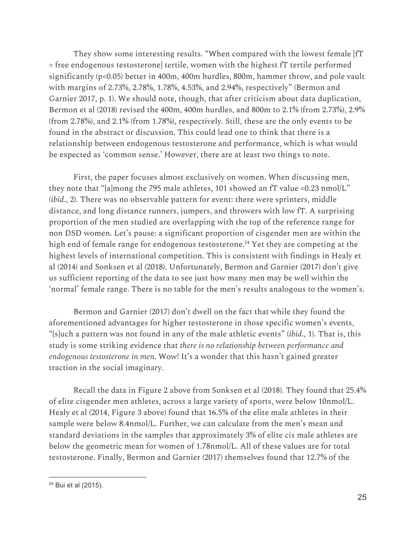They show some interesting results. "When compared with the lowest female [fT = free endogenous testosterone] tertile, women with the highest fT tertile performed significantly (p<0.05) better in 400m, 400m hurdles, 800m, hammer throw, and pole vault with margins of 2.73%, 2.78%, 1.78%, 4.53%, and 2.94%, respectively" (Bermon and Garnier 2017, p. 1). We should note, though, that after criticism about data duplication, Bermon et al (2018) revised the 400m, 400m hurdles, and 800m to 2.1% (from 2.73%), 2.9% (from 2.78%), and 2.1% (from 1.78%), respectively. Still, these are the only events to be found in the abstract or discussion. This could lead one to think that there is a relationship between endogenous testosterone and performance, which is what would be expected as 'common sense.' However, there are at least two things to note.

First, the paper focuses almost exclusively on women. When discussing men, they note that "[a]mong the 795 male athletes, 101 showed an fT value <0.23 nmol/L" (*ibid*., 2). There was no observable pattern for event: there were sprinters, middle distance, and long distance runners, jumpers, and throwers with low fT. A surprising proportion of the men studied are overlapping with the top of the reference range for non DSD women. Let's pause: a significant proportion of cisgender men are within the high end of female range for endogenous testosterone.<sup>24</sup> Yet they are competing at the highest levels of international competition. This is consistent with findings in Healy et al (2014) and Sonksen et al (2018). Unfortunately, Bermon and Garnier (2017) don't give us sufficient reporting of the data to see just how many men may be well within the 'normal' female range. There is no table for the men's results analogous to the women's.

Bermon and Garnier (2017) don't dwell on the fact that while they found the aforementioned advantages for higher testosterone in those specific women's events, "[s]uch a pattern was not found in any of the male athletic events" (*ibid*., 1). That is, this study is some striking evidence that *there is no relationship between performance and endogenous testosterone in men*. Wow! It's a wonder that this hasn't gained greater traction in the social imaginary.

Recall the data in Figure 2 above from Sonksen et al (2018). They found that 25.4% of elite cisgender men athletes, across a large variety of sports, were below 10nmol/L. Healy et al (2014, Figure 3 above) found that 16.5% of the elite male athletes in their sample were below 8.4nmol/L. Further, we can calculate from the men's mean and standard deviations in the samples that approximately 3% of elite cis male athletes are below the geometric mean for women of 1.78nmol/L. All of these values are for total testosterone. Finally, Bermon and Garnier (2017) themselves found that 12.7% of the

<sup>24</sup> Bui et al (2015).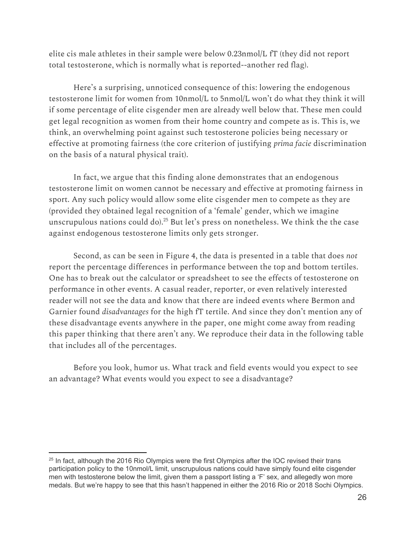elite cis male athletes in their sample were below 0.23nmol/L fT (they did not report total testosterone, which is normally what is reported--another red flag).

Here's a surprising, unnoticed consequence of this: lowering the endogenous testosterone limit for women from 10nmol/L to 5nmol/L won't do what they think it will if some percentage of elite cisgender men are already well below that. These men could get legal recognition as women from their home country and compete as is. This is, we think, an overwhelming point against such testosterone policies being necessary or effective at promoting fairness (the core criterion of justifying *prima facie* discrimination on the basis of a natural physical trait).

In fact, we argue that this finding alone demonstrates that an endogenous testosterone limit on women cannot be necessary and effective at promoting fairness in sport. Any such policy would allow some elite cisgender men to compete as they are (provided they obtained legal recognition of a 'female' gender, which we imagine unscrupulous nations could do). $^{25}$  But let's press on nonetheless. We think the the case against endogenous testosterone limits only gets stronger.

Second, as can be seen in Figure 4, the data is presented in a table that does *not* report the percentage differences in performance between the top and bottom tertiles. One has to break out the calculator or spreadsheet to see the effects of testosterone on performance in other events. A casual reader, reporter, or even relatively interested reader will not see the data and know that there are indeed events where Bermon and Garnier found *disadvantages* for the high fT tertile. And since they don't mention any of these disadvantage events anywhere in the paper, one might come away from reading this paper thinking that there aren't any. We reproduce their data in the following table that includes all of the percentages.

Before you look, humor us. What track and field events would you expect to see an advantage? What events would you expect to see a disadvantage?

 $25$  In fact, although the 2016 Rio Olympics were the first Olympics after the IOC revised their trans participation policy to the 10nmol/L limit, unscrupulous nations could have simply found elite cisgender men with testosterone below the limit, given them a passport listing a 'F' sex, and allegedly won more medals. But we're happy to see that this hasn't happened in either the 2016 Rio or 2018 Sochi Olympics.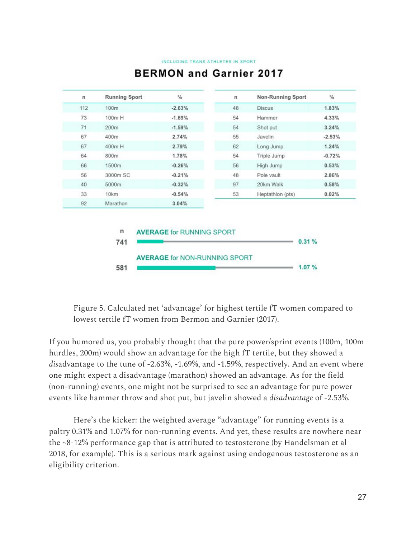#### INCLUDING TRANS ATHLETES IN SPORT

| n   | <b>Running Sport</b> | $\frac{0}{a}$ | n  | Non-Running Sport         | $\%$     |
|-----|----------------------|---------------|----|---------------------------|----------|
| 112 | 100m                 | $-2.63%$      | 48 | <b>Discus</b>             | 1.83%    |
| 73  | 100m H               | $-1.69%$      | 54 | Hammer                    | 4.33%    |
| 71  | 200m                 | $-1.59%$      | 54 | Shot put                  | 3.24%    |
| 67  | 400m                 | 2.74%         | 55 | Javelin                   | $-2.53%$ |
| 67  | 400m H               | 2.79%         | 62 | Long Jump                 | 1.24%    |
| 64  | 800m                 | 1.78%         | 54 | Triple Jump               | $-0.72%$ |
| 66  | 1500m                | $-0.26%$      | 56 | High Jump                 | 0.53%    |
| 56  | 3000m SC             | $-0.21%$      | 48 | Pole vault                | 2.86%    |
| 40  | 5000m                | $-0.32%$      | 97 | 20km Walk                 | 0.58%    |
| 33  | 10km                 | $-0.54%$      | 53 | Heptathlon (pts)<br>0.02% |          |
| 92  | Marathon             | 3.04%         |    |                           |          |

# **BERMON and Garnier 2017**

Figure 5. Calculated net 'advantage' for highest tertile fT women compared to lowest tertile fT women from Bermon and Garnier (2017).

If you humored us, you probably thought that the pure power/sprint events (100m, 100m hurdles, 200m) would show an advantage for the high fT tertile, but they showed a *dis*advantage to the tune of -2.63%, -1.69%, and -1.59%, respectively. And an event where one might expect a disadvantage (marathon) showed an advantage. As for the field (non-running) events, one might not be surprised to see an advantage for pure power events like hammer throw and shot put, but javelin showed a *disadvantage* of -2.53%.

Here's the kicker: the weighted average "advantage" for running events is a paltry 0.31% and 1.07% for non-running events. And yet, these results are nowhere near the ~8-12% performance gap that is attributed to testosterone (by Handelsman et al 2018, for example). This is a serious mark against using endogenous testosterone as an eligibility criterion.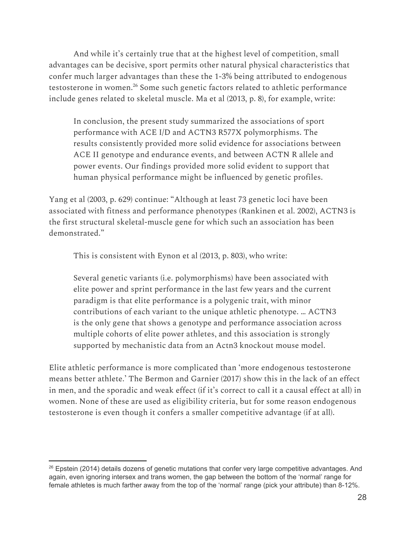And while it's certainly true that at the highest level of competition, small advantages can be decisive, sport permits other natural physical characteristics that confer much larger advantages than these the 1-3% being attributed to endogenous testosterone in women.<sup>26</sup> Some such genetic factors related to athletic performance include genes related to skeletal muscle. Ma et al (2013, p. 8), for example, write:

In conclusion, the present study summarized the associations of sport performance with ACE I/D and ACTN3 R577X polymorphisms. The results consistently provided more solid evidence for associations between ACE II genotype and endurance events, and between ACTN R allele and power events. Our findings provided more solid evident to support that human physical performance might be influenced by genetic profiles.

Yang et al (2003, p. 629) continue: "Although at least 73 genetic loci have been associated with fitness and performance phenotypes (Rankinen et al. 2002), ACTN3 is the first structural skeletal-muscle gene for which such an association has been demonstrated."

This is consistent with Eynon et al (2013, p. 803), who write:

Several genetic variants (i.e. polymorphisms) have been associated with elite power and sprint performance in the last few years and the current paradigm is that elite performance is a polygenic trait, with minor contributions of each variant to the unique athletic phenotype. … ACTN3 is the only gene that shows a genotype and performance association across multiple cohorts of elite power athletes, and this association is strongly supported by mechanistic data from an Actn3 knockout mouse model.

Elite athletic performance is more complicated than 'more endogenous testosterone means better athlete.' The Bermon and Garnier (2017) show this in the lack of an effect in men, and the sporadic and weak effect (if it's correct to call it a causal effect at all) in women. None of these are used as eligibility criteria, but for some reason endogenous testosterone is even though it confers a smaller competitive advantage (if at all).

<sup>&</sup>lt;sup>26</sup> Epstein (2014) details dozens of genetic mutations that confer very large competitive advantages. And again, even ignoring intersex and trans women, the gap between the bottom of the 'normal' range for female athletes is much farther away from the top of the 'normal' range (pick your attribute) than 8-12%.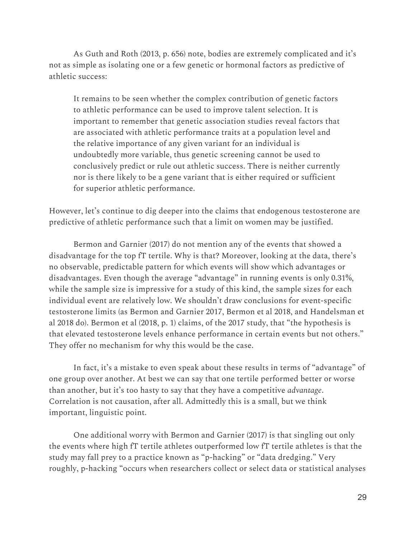As Guth and Roth (2013, p. 656) note, bodies are extremely complicated and it's not as simple as isolating one or a few genetic or hormonal factors as predictive of athletic success:

It remains to be seen whether the complex contribution of genetic factors to athletic performance can be used to improve talent selection. It is important to remember that genetic association studies reveal factors that are associated with athletic performance traits at a population level and the relative importance of any given variant for an individual is undoubtedly more variable, thus genetic screening cannot be used to conclusively predict or rule out athletic success. There is neither currently nor is there likely to be a gene variant that is either required or sufficient for superior athletic performance.

However, let's continue to dig deeper into the claims that endogenous testosterone are predictive of athletic performance such that a limit on women may be justified.

Bermon and Garnier (2017) do not mention any of the events that showed a disadvantage for the top fT tertile. Why is that? Moreover, looking at the data, there's no observable, predictable pattern for which events will show which advantages or disadvantages. Even though the average "advantage" in running events is only 0.31%, while the sample size is impressive for a study of this kind, the sample sizes for each individual event are relatively low. We shouldn't draw conclusions for event-specific testosterone limits (as Bermon and Garnier 2017, Bermon et al 2018, and Handelsman et al 2018 do). Bermon et al (2018, p. 1) claims, of the 2017 study, that "the hypothesis is that elevated testosterone levels enhance performance in certain events but not others." They offer no mechanism for why this would be the case.

In fact, it's a mistake to even speak about these results in terms of "advantage" of one group over another. At best we can say that one tertile performed better or worse than another, but it's too hasty to say that they have a competitive *advantage*. Correlation is not causation, after all. Admittedly this is a small, but we think important, linguistic point.

One additional worry with Bermon and Garnier (2017) is that singling out only the events where high fT tertile athletes outperformed low fT tertile athletes is that the study may fall prey to a practice known as "p-hacking" or "data dredging." Very roughly, p-hacking "occurs when researchers collect or select data or statistical analyses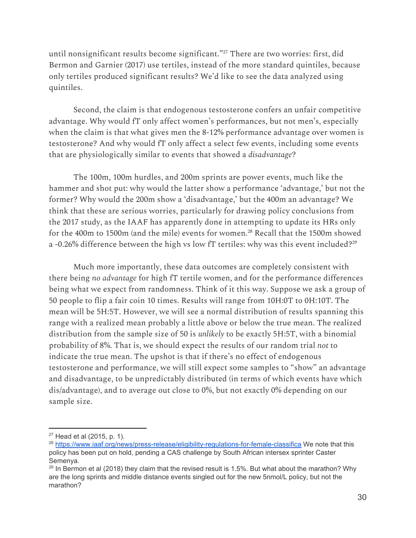until nonsignificant results become significant."<sup>27</sup> There are two worries: first, did Bermon and Garnier (2017) use tertiles, instead of the more standard quintiles, because only tertiles produced significant results? We'd like to see the data analyzed using quintiles.

Second, the claim is that endogenous testosterone confers an unfair competitive advantage. Why would fT only affect women's performances, but not men's, especially when the claim is that what gives men the 8-12% performance advantage over women is testosterone? And why would fT only affect a select few events, including some events that are physiologically similar to events that showed a *disadvantage*?

The 100m, 100m hurdles, and 200m sprints are power events, much like the hammer and shot put: why would the latter show a performance 'advantage,' but not the former? Why would the 200m show a 'disadvantage,' but the 400m an advantage? We think that these are serious worries, particularly for drawing policy conclusions from the 2017 study, as the IAAF has apparently done in attempting to update its HRs only for the 400m to 1500m (and the mile) events for women. $^{28}$  Recall that the 1500m showed a -0.26% difference between the high vs low fT tertiles: why was this event included? $^{29}$ 

Much more importantly, these data outcomes are completely consistent with there being *no advantage* for high fT tertile women, and for the performance differences being what we expect from randomness. Think of it this way. Suppose we ask a group of 50 people to flip a fair coin 10 times. Results will range from 10H:0T to 0H:10T. The mean will be 5H:5T. However, we will see a normal distribution of results spanning this range with a realized mean probably a little above or below the true mean. The realized distribution from the sample size of 50 is *unlikely* to be exactly 5H:5T, with a binomial probability of 8%. That is, we should expect the results of our random trial *not* to indicate the true mean. The upshot is that if there's no effect of endogenous testosterone and performance, we will still expect some samples to "show" an advantage and disadvantage, to be unpredictably distributed (in terms of which events have which dis/advantage), and to average out close to 0%, but not exactly 0% depending on our sample size.

 $27$  Head et al (2015, p. 1).

<sup>&</sup>lt;sup>28</sup> <https://www.iaaf.org/news/press-release/eligibility-regulations-for-female-classifica> We note that this policy has been put on hold, pending a CAS challenge by South African intersex sprinter Caster Semenya.

<sup>&</sup>lt;sup>29</sup> In Bermon et al (2018) they claim that the revised result is 1.5%. But what about the marathon? Why are the long sprints and middle distance events singled out for the new 5nmol/L policy, but not the marathon?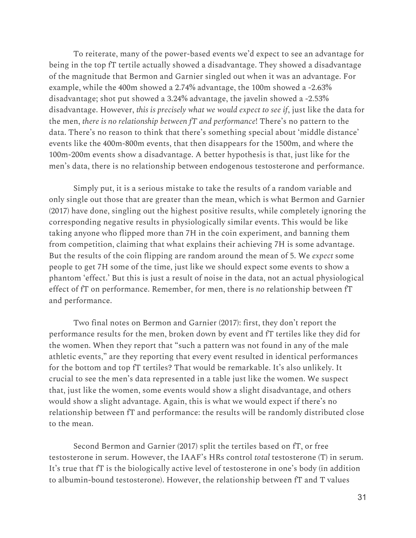To reiterate, many of the power-based events we'd expect to see an advantage for being in the top fT tertile actually showed a disadvantage. They showed a disadvantage of the magnitude that Bermon and Garnier singled out when it was an advantage. For example, while the 400m showed a 2.74% advantage, the 100m showed a -2.63% disadvantage; shot put showed a 3.24% advantage, the javelin showed a -2.53% disadvantage. However, *this is precisely what we would expect to see if*, just like the data for the men, *there is no relationship between fT and performance*! There's no pattern to the data. There's no reason to think that there's something special about 'middle distance' events like the 400m-800m events, that then disappears for the 1500m, and where the 100m-200m events show a disadvantage. A better hypothesis is that, just like for the men's data, there is no relationship between endogenous testosterone and performance.

Simply put, it is a serious mistake to take the results of a random variable and only single out those that are greater than the mean, which is what Bermon and Garnier (2017) have done, singling out the highest positive results, while completely ignoring the corresponding negative results in physiologically similar events. This would be like taking anyone who flipped more than 7H in the coin experiment, and banning them from competition, claiming that what explains their achieving 7H is some advantage. But the results of the coin flipping are random around the mean of 5. We *expect* some people to get 7H some of the time, just like we should expect some events to show a phantom 'effect.' But this is just a result of noise in the data, not an actual physiological effect of fT on performance. Remember, for men, there is *no* relationship between fT and performance.

Two final notes on Bermon and Garnier (2017): first, they don't report the performance results for the men, broken down by event and fT tertiles like they did for the women. When they report that "such a pattern was not found in any of the male athletic events," are they reporting that every event resulted in identical performances for the bottom and top fT tertiles? That would be remarkable. It's also unlikely. It crucial to see the men's data represented in a table just like the women. We suspect that, just like the women, some events would show a slight disadvantage, and others would show a slight advantage. Again, this is what we would expect if there's no relationship between fT and performance: the results will be randomly distributed close to the mean.

Second Bermon and Garnier (2017) split the tertiles based on fT, or free testosterone in serum. However, the IAAF's HRs control *total* testosterone (T) in serum. It's true that fT is the biologically active level of testosterone in one's body (in addition to albumin-bound testosterone). However, the relationship between fT and T values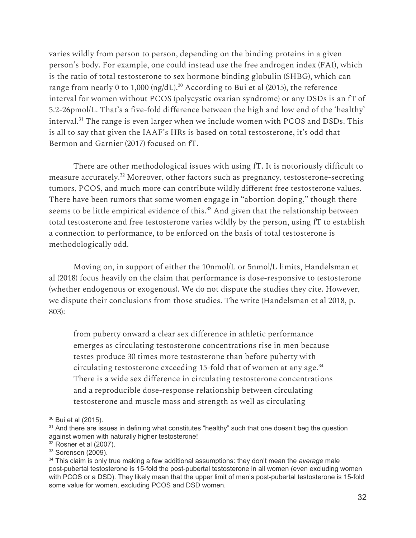varies wildly from person to person, depending on the binding proteins in a given person's body. For example, one could instead use the free androgen index (FAI), which is the ratio of total testosterone to sex hormone binding globulin (SHBG), which can range from nearly 0 to 1,000 (ng/dL). $^{30}$  According to Bui et al (2015), the reference interval for women without PCOS (polycystic ovarian syndrome) or any DSDs is an fT of 5.2-26pmol/L. That's a five-fold difference between the high and low end of the 'healthy' interval. $31$  The range is even larger when we include women with PCOS and DSDs. This is all to say that given the IAAF's HRs is based on total testosterone, it's odd that Bermon and Garnier (2017) focused on fT.

There are other methodological issues with using fT. It is notoriously difficult to measure accurately.<sup>32</sup> Moreover, other factors such as pregnancy, testosterone-secreting tumors, PCOS, and much more can contribute wildly different free testosterone values. There have been rumors that some women engage in "abortion doping," though there seems to be little empirical evidence of this. $33$  And given that the relationship between total testosterone and free testosterone varies wildly by the person, using fT to establish a connection to performance, to be enforced on the basis of total testosterone is methodologically odd.

Moving on, in support of either the 10nmol/L or 5nmol/L limits, Handelsman et al (2018) focus heavily on the claim that performance is dose-responsive to testosterone (whether endogenous or exogenous). We do not dispute the studies they cite. However, we dispute their conclusions from those studies. The write (Handelsman et al 2018, p. 803):

from puberty onward a clear sex difference in athletic performance emerges as circulating testosterone concentrations rise in men because testes produce 30 times more testosterone than before puberty with circulating testosterone exceeding 15-fold that of women at any age. 34 There is a wide sex difference in circulating testosterone concentrations and a reproducible dose-response relationship between circulating testosterone and muscle mass and strength as well as circulating

<sup>30</sup> Bui et al (2015).

 $31$  And there are issues in defining what constitutes "healthy" such that one doesn't beg the question against women with naturally higher testosterone!

<sup>32</sup> Rosner et al (2007).

<sup>&</sup>lt;sup>33</sup> Sorensen (2009).

<sup>34</sup> This claim is only true making a few additional assumptions: they don't mean the *average* male post-pubertal testosterone is 15-fold the post-pubertal testosterone in all women (even excluding women with PCOS or a DSD). They likely mean that the upper limit of men's post-pubertal testosterone is 15-fold some value for women, excluding PCOS and DSD women.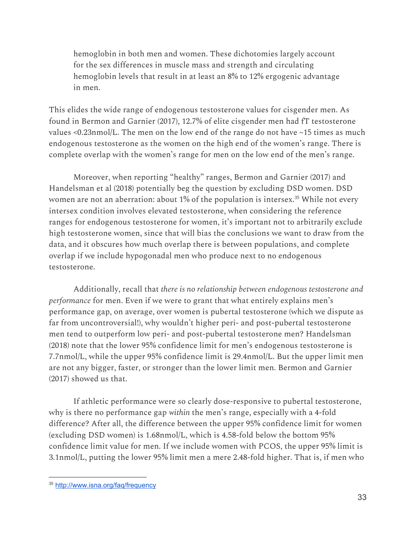hemoglobin in both men and women. These dichotomies largely account for the sex differences in muscle mass and strength and circulating hemoglobin levels that result in at least an 8% to 12% ergogenic advantage in men.

This elides the wide range of endogenous testosterone values for cisgender men. As found in Bermon and Garnier (2017), 12.7% of elite cisgender men had fT testosterone values <0.23nmol/L. The men on the low end of the range do not have ~15 times as much endogenous testosterone as the women on the high end of the women's range. There is complete overlap with the women's range for men on the low end of the men's range.

Moreover, when reporting "healthy" ranges, Bermon and Garnier (2017) and Handelsman et al (2018) potentially beg the question by excluding DSD women. DSD women are not an aberration: about 1% of the population is intersex.<sup>35</sup> While not every intersex condition involves elevated testosterone, when considering the reference ranges for endogenous testosterone for women, it's important not to arbitrarily exclude high testosterone women, since that will bias the conclusions we want to draw from the data, and it obscures how much overlap there is between populations, and complete overlap if we include hypogonadal men who produce next to no endogenous testosterone.

Additionally, recall that *there is no relationship between endogenous testosterone and performance* for men. Even if we were to grant that what entirely explains men's performance gap, on average, over women is pubertal testosterone (which we dispute as far from uncontroversial!), why wouldn't higher peri- and post-pubertal testosterone men tend to outperform low peri- and post-pubertal testosterone men? Handelsman (2018) note that the lower 95% confidence limit for men's endogenous testosterone is 7.7nmol/L, while the upper 95% confidence limit is 29.4nmol/L. But the upper limit men are not any bigger, faster, or stronger than the lower limit men. Bermon and Garnier (2017) showed us that.

If athletic performance were so clearly dose-responsive to pubertal testosterone, why is there no performance gap *within* the men's range, especially with a 4-fold difference? After all, the difference between the upper 95% confidence limit for women (excluding DSD women) is 1.68nmol/L, which is 4.58-fold below the bottom 95% confidence limit value for men. If we include women with PCOS, the upper 95% limit is 3.1nmol/L, putting the lower 95% limit men a mere 2.48-fold higher. That is, if men who

<sup>35</sup> <http://www.isna.org/faq/frequency>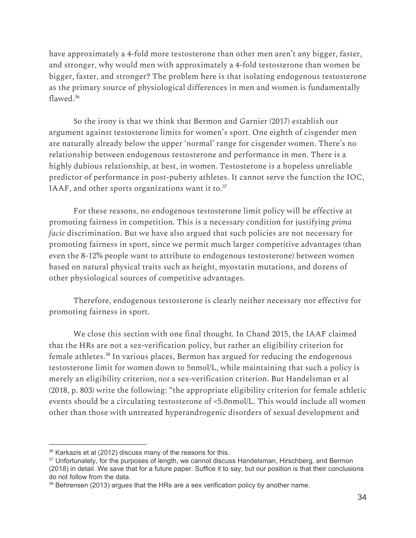have approximately a 4-fold more testosterone than other men aren't any bigger, faster, and stronger, why would men with approximately a 4-fold testosterone than women be bigger, faster, and stronger? The problem here is that isolating endogenous testosterone as the primary source of physiological differences in men and women is fundamentally flawed. 36

So the irony is that we think that Bermon and Garnier (2017) establish our argument against testosterone limits for women's sport. One eighth of cisgender men are naturally already below the upper 'normal' range for cisgender women. There's no relationship between endogenous testosterone and performance in men. There is a highly dubious relationship, at best, in women. Testosterone is a hopeless unreliable predictor of performance in post-puberty athletes. It cannot serve the function the IOC, IAAF, and other sports organizations want it to.<sup>37</sup>

For these reasons, no endogenous testosterone limit policy will be effective at promoting fairness in competition. This is a necessary condition for justifying *prima facie* discrimination. But we have also argued that such policies are not necessary for promoting fairness in sport, since we permit much larger competitive advantages (than even the 8-12% people want to attribute to endogenous testosterone) between women based on natural physical traits such as height, myostatin mutations, and dozens of other physiological sources of competitive advantages.

Therefore, endogenous testosterone is clearly neither necessary nor effective for promoting fairness in sport.

We close this section with one final thought. In Chand 2015, the IAAF claimed that the HRs are not a sex-verification policy, but rather an eligibility criterion for female athletes.<sup>38</sup> In various places, Bermon has argued for reducing the endogenous testosterone limit for women down to 5nmol/L, while maintaining that such a policy is merely an eligibility criterion, *not* a sex-verification criterion. But Handelsman et al (2018, p. 803) write the following: "the appropriate eligibility criterion for female athletic events should be a circulating testosterone of <5.0nmol/L. This would include all women other than those with untreated hyperandrogenic disorders of sexual development and

<sup>&</sup>lt;sup>36</sup> Karkazis et al (2012) discuss many of the reasons for this.

<sup>&</sup>lt;sup>37</sup> Unfortunately, for the purposes of length, we cannot discuss Handelsman, Hirschberg, and Bermon (2018) in detail. We save that for a future paper. Suffice it to say, but our position is that their conclusions do not follow from the data.

<sup>&</sup>lt;sup>38</sup> Behrensen (2013) argues that the HRs are a sex verification policy by another name.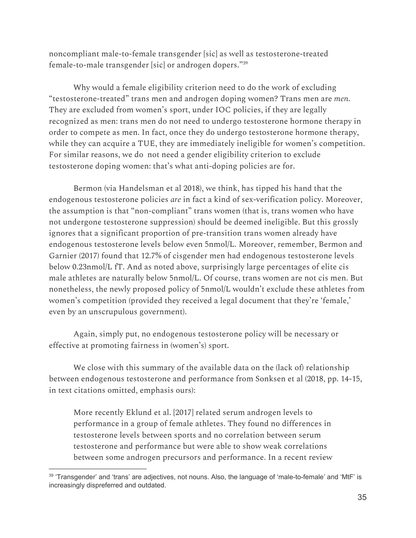noncompliant male-to-female transgender [sic] as well as testosterone-treated female-to-male transgender [sic] or androgen dopers."<sup>39</sup>

Why would a female eligibility criterion need to do the work of excluding "testosterone-treated" trans men and androgen doping women? Trans men are *men*. They are excluded from women's sport, under IOC policies, if they are legally recognized as men: trans men do not need to undergo testosterone hormone therapy in order to compete as men. In fact, once they do undergo testosterone hormone therapy, while they can acquire a TUE, they are immediately ineligible for women's competition. For similar reasons, we do not need a gender eligibility criterion to exclude testosterone doping women: that's what anti-doping policies are for.

Bermon (via Handelsman et al 2018), we think, has tipped his hand that the endogenous testosterone policies *are* in fact a kind of sex-verification policy. Moreover, the assumption is that "non-compliant" trans women (that is, trans women who have not undergone testosterone suppression) should be deemed ineligible. But this grossly ignores that a significant proportion of pre-transition trans women already have endogenous testosterone levels below even 5nmol/L. Moreover, remember, Bermon and Garnier (2017) found that 12.7% of cisgender men had endogenous testosterone levels below 0.23nmol/L fT. And as noted above, surprisingly large percentages of elite cis male athletes are naturally below 5nmol/L. Of course, trans women are not cis men. But nonetheless, the newly proposed policy of 5nmol/L wouldn't exclude these athletes from women's competition (provided they received a legal document that they're 'female,' even by an unscrupulous government).

Again, simply put, no endogenous testosterone policy will be necessary or effective at promoting fairness in (women's) sport.

We close with this summary of the available data on the (lack of) relationship between endogenous testosterone and performance from Sonksen et al (2018, pp. 14-15, in text citations omitted, emphasis ours):

More recently Eklund et al. [2017] related serum androgen levels to performance in a group of female athletes. They found no differences in testosterone levels between sports and no correlation between serum testosterone and performance but were able to show weak correlations between some androgen precursors and performance. In a recent review

<sup>&</sup>lt;sup>39</sup> 'Transgender' and 'trans' are adjectives, not nouns. Also, the language of 'male-to-female' and 'MtF' is increasingly dispreferred and outdated.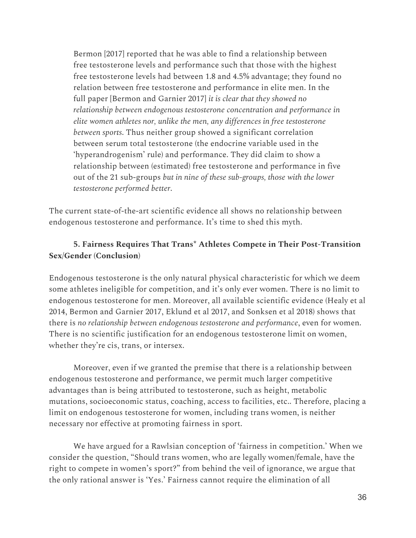Bermon [2017] reported that he was able to find a relationship between free testosterone levels and performance such that those with the highest free testosterone levels had between 1.8 and 4.5% advantage; they found no relation between free testosterone and performance in elite men. In the full paper [Bermon and Garnier 2017] *it is clear that they showed no relationship between endogenous testosterone concentration and performance in elite women athletes nor, unlike the men, any differences in free testosterone between sports*. Thus neither group showed a significant correlation between serum total testosterone (the endocrine variable used in the 'hyperandrogenism' rule) and performance. They did claim to show a relationship between (estimated) free testosterone and performance in five out of the 21 sub-groups *but in nine of these sub-groups, those with the lower testosterone performed better*.

The current state-of-the-art scientific evidence all shows no relationship between endogenous testosterone and performance. It's time to shed this myth.

## **5. Fairness Requires That Trans\* Athletes Compete in Their Post-Transition Sex/Gender (Conclusion)**

Endogenous testosterone is the only natural physical characteristic for which we deem some athletes ineligible for competition, and it's only ever women. There is no limit to endogenous testosterone for men. Moreover, all available scientific evidence (Healy et al 2014, Bermon and Garnier 2017, Eklund et al 2017, and Sonksen et al 2018) shows that there is *no relationship between endogenous testosterone and performance*, even for women. There is no scientific justification for an endogenous testosterone limit on women, whether they're cis, trans, or intersex.

Moreover, even if we granted the premise that there is a relationship between endogenous testosterone and performance, we permit much larger competitive advantages than is being attributed to testosterone, such as height, metabolic mutations, socioeconomic status, coaching, access to facilities, etc.. Therefore, placing a limit on endogenous testosterone for women, including trans women, is neither necessary nor effective at promoting fairness in sport.

We have argued for a Rawlsian conception of 'fairness in competition.' When we consider the question, "Should trans women, who are legally women/female, have the right to compete in women's sport?" from behind the veil of ignorance, we argue that the only rational answer is 'Yes.' Fairness cannot require the elimination of all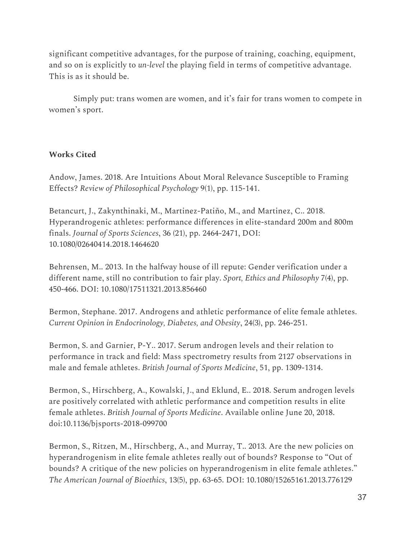significant competitive advantages, for the purpose of training, coaching, equipment, and so on is explicitly to *un-level* the playing field in terms of competitive advantage. This is as it should be.

Simply put: trans women are women, and it's fair for trans women to compete in women's sport.

## **Works Cited**

Andow, James. 2018. Are Intuitions About Moral Relevance Susceptible to Framing Effects? *Review of Philosophical Psychology* 9(1), pp. 115-141.

Betancurt, J., Zakynthinaki, M., Martinez-Patiño, M., and Martinez, C.. 2018. Hyperandrogenic athletes: performance differences in elite-standard 200m and 800m finals. *Journal of Sports Sciences*, 36 (21), pp. 2464-2471, DOI: 10.1080/02640414.2018.1464620

Behrensen, M.. 2013. In the halfway house of ill repute: Gender verification under a different name, still no contribution to fair play. *Sport, Ethics and Philosophy* 7(4), pp. 450-466. DOI: 10.1080/17511321.2013.856460

Bermon, Stephane. 2017. Androgens and athletic performance of elite female athletes. *Current Opinion in Endocrinology, Diabetes, and Obesity*, 24(3), pp. 246-251.

Bermon, S. and Garnier, P-Y.. 2017. Serum androgen levels and their relation to performance in track and field: Mass spectrometry results from 2127 observations in male and female athletes. *British Journal of Sports Medicine*, 51, pp. 1309-1314.

Bermon, S., Hirschberg, A., Kowalski, J., and Eklund, E.. 2018. Serum androgen levels are positively correlated with athletic performance and competition results in elite female athletes. *British Journal of Sports Medicine*. Available online June 20, 2018. doi:10.1136/bjsports-2018-099700

Bermon, S., Ritzen, M., Hirschberg, A., and Murray, T.. 2013. Are the new policies on hyperandrogenism in elite female athletes really out of bounds? Response to "Out of bounds? A critique of the new policies on hyperandrogenism in elite female athletes." *The American Journal of Bioethics*, 13(5), pp. 63-65. DOI: 10.1080/15265161.2013.776129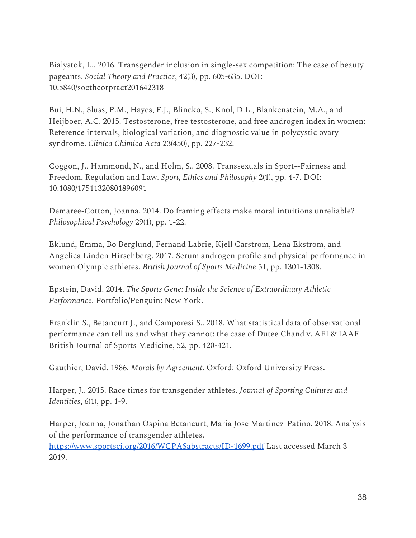Bialystok, L.. 2016. Transgender inclusion in single-sex competition: The case of beauty pageants. *Social Theory and Practice*, 42(3), pp. 605-635. DOI: 10.5840/soctheorpract201642318

Bui, H.N., Sluss, P.M., Hayes, F.J., Blincko, S., Knol, D.L., Blankenstein, M.A., and Heijboer, A.C. 2015. Testosterone, free testosterone, and free androgen index in women: Reference intervals, biological variation, and diagnostic value in polycystic ovary syndrome. *Clinica Chimica Acta* 23(450), pp. 227-232.

Coggon, J., Hammond, N., and Holm, S.. 2008. Transsexuals in Sport--Fairness and Freedom, Regulation and Law. *Sport, Ethics and Philosophy* 2(1), pp. 4-7. DOI: 10.1080/17511320801896091

Demaree-Cotton, Joanna. 2014. Do framing effects make moral intuitions unreliable? *Philosophical Psychology* 29(1), pp. 1-22.

Eklund, Emma, Bo Berglund, Fernand Labrie, Kjell Carstrom, Lena Ekstrom, and Angelica Linden Hirschberg. 2017. Serum androgen profile and physical performance in women Olympic athletes. *British Journal of Sports Medicine* 51, pp. 1301-1308.

Epstein, David. 2014. *The Sports Gene: Inside the Science of Extraordinary Athletic Performance*. Portfolio/Penguin: New York.

Franklin S., Betancurt J., and Camporesi S.. 2018. What statistical data of observational performance can tell us and what they cannot: the case of Dutee Chand v. AFI & IAAF British Journal of Sports Medicine, 52, pp. 420-421.

Gauthier, David. 1986. *Morals by Agreement*. Oxford: Oxford University Press.

Harper, J.. 2015. Race times for transgender athletes. *Journal of Sporting Cultures and Identities*, 6(1), pp. 1-9.

Harper, Joanna, Jonathan Ospina Betancurt, Maria Jose Martinez-Patino. 2018. Analysis of the performance of transgender athletes. <https://www.sportsci.org/2016/WCPASabstracts/ID-1699.pdf>Last accessed March 3 2019.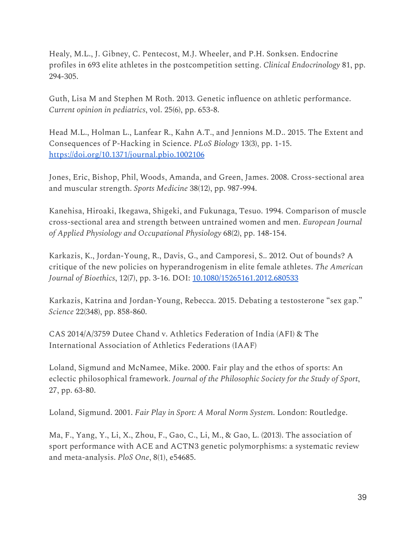Healy, M.L., J. Gibney, C. Pentecost, M.J. Wheeler, and P.H. Sonksen. Endocrine profiles in 693 elite athletes in the postcompetition setting. *Clinical Endocrinology* 81, pp. 294-305.

Guth, Lisa M and Stephen M Roth. 2013. Genetic influence on athletic performance. *Current opinion in pediatrics*, vol. 25(6), pp. 653-8.

Head M.L., Holman L., Lanfear R., Kahn A.T., and Jennions M.D.. 2015. The Extent and Consequences of P-Hacking in Science. *PLoS Biology* 13(3), pp. 1-15. <https://doi.org/10.1371/journal.pbio.1002106>

Jones, Eric, Bishop, Phil, Woods, Amanda, and Green, James. 2008. Cross-sectional area and muscular strength. *Sports Medicine* 38(12), pp. 987-994.

Kanehisa, Hiroaki, Ikegawa, Shigeki, and Fukunaga, Tesuo. 1994. Comparison of muscle cross-sectional area and strength between untrained women and men. *European Journal of Applied Physiology and Occupational Physiology* 68(2), pp. 148-154.

Karkazis, K., Jordan-Young, R., Davis, G., and Camporesi, S.. 2012. Out of bounds? A critique of the new policies on hyperandrogenism in elite female athletes. *The American Journal of Bioethics*, 12(7), pp. 3-16. DOI: [10.1080/15265161.2012.680533](http://dx.doi.org/10.1080/15265161.2012.680533)

Karkazis, Katrina and Jordan-Young, Rebecca. 2015. Debating a testosterone "sex gap." *Science* 22(348), pp. 858-860.

CAS 2014/A/3759 Dutee Chand v. Athletics Federation of India (AFI) & The International Association of Athletics Federations (IAAF)

Loland, Sigmund and McNamee, Mike. 2000. Fair play and the ethos of sports: An eclectic philosophical framework. *Journal of the Philosophic Society for the Study of Sport*, 27, pp. 63-80.

Loland, Sigmund. 2001. *Fair Play in Sport: A Moral Norm System*. London: Routledge.

Ma, F., Yang, Y., Li, X., Zhou, F., Gao, C., Li, M., & Gao, L. (2013). The association of sport performance with ACE and ACTN3 genetic polymorphisms: a systematic review and meta-analysis. *PloS One*, 8(1), e54685.